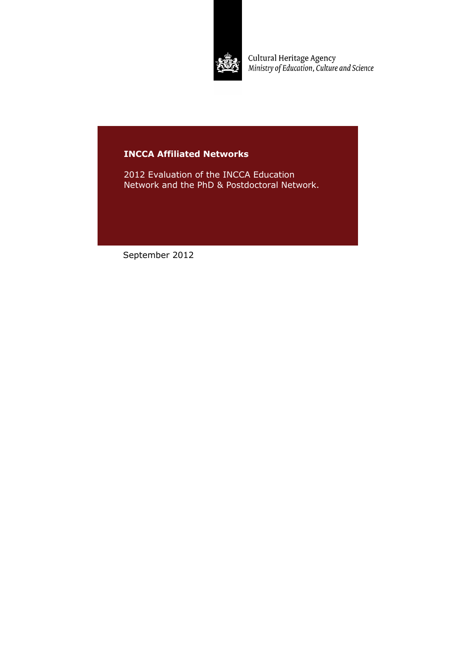

Cultural Heritage Agency<br>Ministry of Education, Culture and Science

# **INCCA Affiliated Networks**

2012 Evaluation of the INCCA Education Network and the PhD & Postdoctoral Network.

September 2012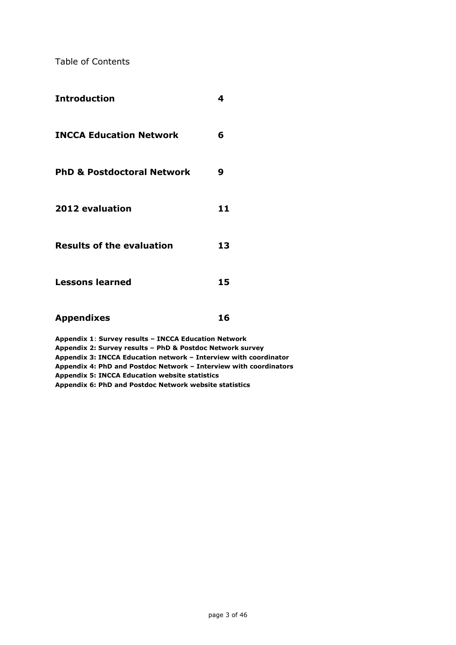Table of Contents

| <b>Introduction</b>                                                                                                                                                                                                                                        | 4  |
|------------------------------------------------------------------------------------------------------------------------------------------------------------------------------------------------------------------------------------------------------------|----|
| <b>INCCA Education Network</b>                                                                                                                                                                                                                             | 6  |
| <b>PhD &amp; Postdoctoral Network</b>                                                                                                                                                                                                                      | 9  |
| 2012 evaluation                                                                                                                                                                                                                                            | 11 |
| <b>Results of the evaluation</b>                                                                                                                                                                                                                           | 13 |
| <b>Lessons learned</b>                                                                                                                                                                                                                                     | 15 |
| <b>Appendixes</b>                                                                                                                                                                                                                                          | 16 |
| Appendix 1: Survey results - INCCA Education Network<br>Appendix 2: Survey results - PhD & Postdoc Network survey<br>Appendix 3: INCCA Education network - Interview with coordinator<br>Appendix 4: PhD and Postdoc Network - Interview with coordinators |    |

**Appendix 5: INCCA Education website statistics**

**Appendix 6: PhD and Postdoc Network website statistics**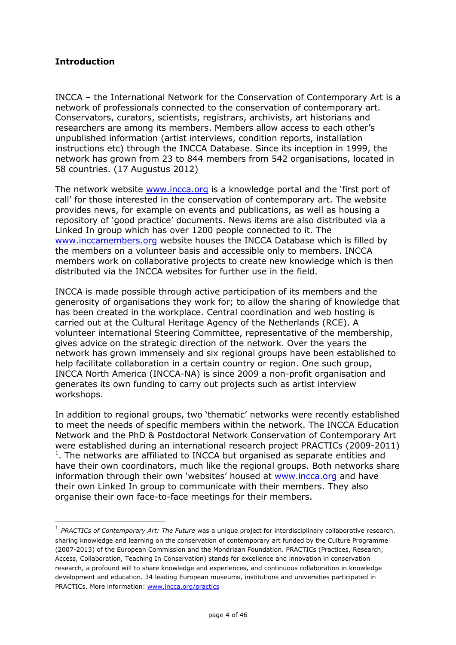# **Introduction**

-

INCCA – the International Network for the Conservation of Contemporary Art is a network of professionals connected to the conservation of contemporary art. Conservators, curators, scientists, registrars, archivists, art historians and researchers are among its members. Members allow access to each other's unpublished information (artist interviews, condition reports, installation instructions etc) through the INCCA Database. Since its inception in 1999, the network has grown from 23 to 844 members from 542 organisations, located in 58 countries. (17 Augustus 2012)

The network website [www.incca.org](http://www.incca.org/) is a knowledge portal and the 'first port of call' for those interested in the conservation of contemporary art. The website provides news, for example on events and publications, as well as housing a repository of 'good practice' documents. News items are also distributed via a Linked In group which has over 1200 people connected to it. The [www.inccamembers.org](http://www.inccamembers.org/) website houses the INCCA Database which is filled by the members on a volunteer basis and accessible only to members. INCCA members work on collaborative projects to create new knowledge which is then distributed via the INCCA websites for further use in the field.

INCCA is made possible through active participation of its members and the generosity of organisations they work for; to allow the sharing of knowledge that has been created in the workplace. Central coordination and web hosting is carried out at the Cultural Heritage Agency of the Netherlands (RCE). A volunteer international Steering Committee, representative of the membership, gives advice on the strategic direction of the network. Over the years the network has grown immensely and six regional groups have been established to help facilitate collaboration in a certain country or region. One such group, INCCA North America (INCCA-NA) is since 2009 a non-profit organisation and generates its own funding to carry out projects such as artist interview workshops.

In addition to regional groups, two 'thematic' networks were recently established to meet the needs of specific members within the network. The INCCA Education Network and the PhD & Postdoctoral Network Conservation of Contemporary Art were established during an international research project PRACTICs (2009-2011)  $1$ . The networks are affiliated to INCCA but organised as separate entities and have their own coordinators, much like the regional groups. Both networks share information through their own 'websites' housed at [www.incca.org](http://www.incca.org/) and have their own Linked In group to communicate with their members. They also organise their own face-to-face meetings for their members.

<sup>&</sup>lt;sup>1</sup> PRACTICs of Contemporary Art: The Future was a unique project for interdisciplinary collaborative research, sharing knowledge and learning on the conservation of contemporary art funded by the Culture Programme (2007-2013) of the European Commission and the Mondriaan Foundation. PRACTICs (Practices, Research, Access, Collaboration, Teaching In Conservation) stands for excellence and innovation in conservation research, a profound will to share knowledge and experiences, and continuous collaboration in knowledge development and education. 34 leading European museums, institutions and universities participated in PRACTICs. More information: [www.incca.org/practics](http://www.incca.org/practics)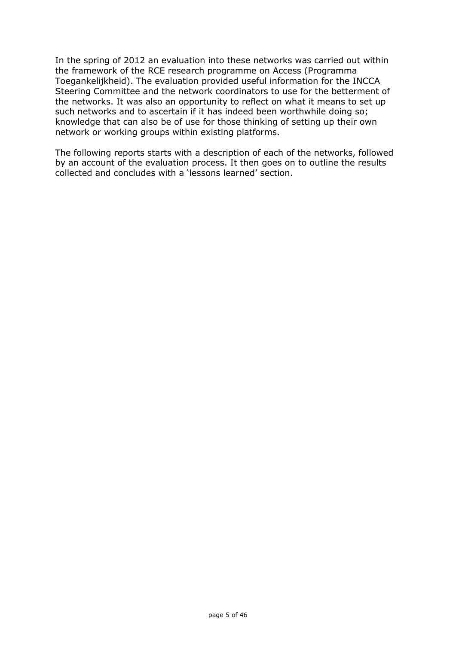In the spring of 2012 an evaluation into these networks was carried out within the framework of the RCE research programme on Access (Programma Toegankelijkheid). The evaluation provided useful information for the INCCA Steering Committee and the network coordinators to use for the betterment of the networks. It was also an opportunity to reflect on what it means to set up such networks and to ascertain if it has indeed been worthwhile doing so; knowledge that can also be of use for those thinking of setting up their own network or working groups within existing platforms.

The following reports starts with a description of each of the networks, followed by an account of the evaluation process. It then goes on to outline the results collected and concludes with a 'lessons learned' section.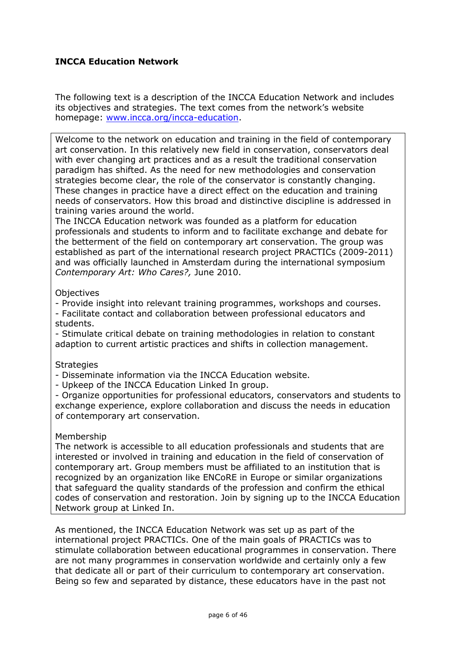# **INCCA Education Network**

The following text is a description of the INCCA Education Network and includes its objectives and strategies. The text comes from the network's website homepage: [www.incca.org/incca-education.](http://www.incca.org/incca-education)

Welcome to the network on education and training in the field of contemporary art conservation. In this relatively new field in conservation, conservators deal with ever changing art practices and as a result the traditional conservation paradigm has shifted. As the need for new methodologies and conservation strategies become clear, the role of the conservator is constantly changing. These changes in practice have a direct effect on the education and training needs of conservators. How this broad and distinctive discipline is addressed in training varies around the world.

The INCCA Education network was founded as a platform for education professionals and students to inform and to facilitate exchange and debate for the betterment of the field on contemporary art conservation. The group was established as part of the international research project PRACTICs (2009-2011) and was officially launched in Amsterdam during the international symposium *Contemporary Art: Who Cares?,* June 2010.

### **Objectives**

- Provide insight into relevant training programmes, workshops and courses.

- Facilitate contact and collaboration between professional educators and students.

- Stimulate critical debate on training methodologies in relation to constant adaption to current artistic practices and shifts in collection management.

### **Strategies**

- Disseminate information via the INCCA Education website.

- Upkeep of the INCCA Education Linked In group.

- Organize opportunities for professional educators, conservators and students to exchange experience, explore collaboration and discuss the needs in education of contemporary art conservation.

### Membership

The network is accessible to all education professionals and students that are interested or involved in training and education in the field of conservation of contemporary art. Group members must be affiliated to an institution that is recognized by an organization like ENCoRE in Europe or similar organizations that safeguard the quality standards of the profession and confirm the ethical codes of conservation and restoration. Join by signing up to the INCCA Education Network group at Linked In.

As mentioned, the INCCA Education Network was set up as part of the international project PRACTICs. One of the main goals of PRACTICs was to stimulate collaboration between educational programmes in conservation. There are not many programmes in conservation worldwide and certainly only a few that dedicate all or part of their curriculum to contemporary art conservation. Being so few and separated by distance, these educators have in the past not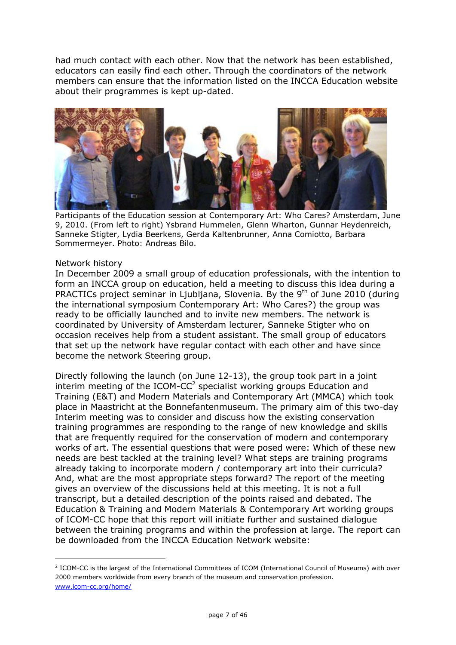had much contact with each other. Now that the network has been established, educators can easily find each other. Through the coordinators of the network members can ensure that the information listed on the INCCA Education website about their programmes is kept up-dated.



Participants of the Education session at Contemporary Art: Who Cares? Amsterdam, June 9, 2010. (From left to right) Ysbrand Hummelen, Glenn Wharton, Gunnar Heydenreich, Sanneke Stigter, Lydia Beerkens, Gerda Kaltenbrunner, Anna Comiotto, Barbara Sommermeyer. Photo: Andreas Bilo.

#### Network history

-

In December 2009 a small group of education professionals, with the intention to form an INCCA group on education, held a meeting to discuss this idea during a PRACTICs project seminar in Ljubljana, Slovenia. By the 9<sup>th</sup> of June 2010 (during the international symposium Contemporary Art: Who Cares?) the group was ready to be officially launched and to invite new members. The network is coordinated by University of Amsterdam lecturer, Sanneke Stigter who on occasion receives help from a student assistant. The small group of educators that set up the network have regular contact with each other and have since become the network Steering group.

Directly following the launch (on June 12-13), the group took part in a joint interim meeting of the ICOM-CC<sup>2</sup> specialist working groups Education and Training (E&T) and Modern Materials and Contemporary Art (MMCA) which took place in Maastricht at the Bonnefantenmuseum. The primary aim of this two-day Interim meeting was to consider and discuss how the existing conservation training programmes are responding to the range of new knowledge and skills that are frequently required for the conservation of modern and contemporary works of art. The essential questions that were posed were: Which of these new needs are best tackled at the training level? What steps are training programs already taking to incorporate modern / contemporary art into their curricula? And, what are the most appropriate steps forward? The report of the meeting gives an overview of the discussions held at this meeting. It is not a full transcript, but a detailed description of the points raised and debated. The Education & Training and Modern Materials & Contemporary Art working groups of ICOM-CC hope that this report will initiate further and sustained dialogue between the training programs and within the profession at large. The report can be downloaded from the INCCA Education Network website:

<sup>&</sup>lt;sup>2</sup> ICOM-CC is the largest of the International Committees of ICOM (International Council of Museums) with over 2000 members worldwide from every branch of the museum and conservation profession. [www.icom-cc.org/home/](http://www.icom-cc.org/home/)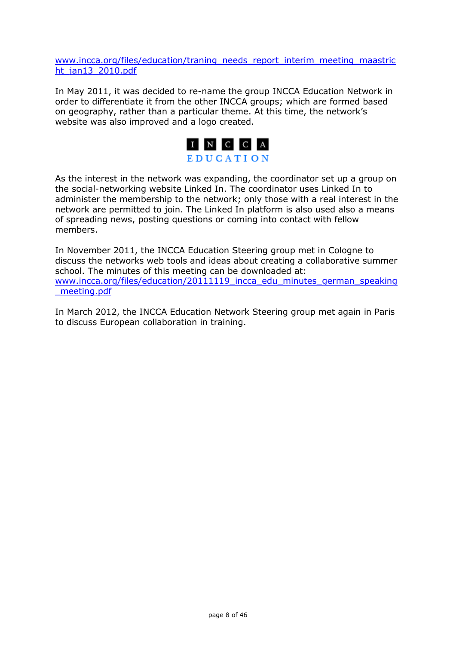[www.incca.org/files/education/traning\\_needs\\_report\\_interim\\_meeting\\_maastric](http://www.incca.org/files/education/traning_needs_report_interim_meeting_maastricht_jan13_2010.pdf) ht jan13 2010.pdf

In May 2011, it was decided to re-name the group INCCA Education Network in order to differentiate it from the other INCCA groups; which are formed based on geography, rather than a particular theme. At this time, the network's website was also improved and a logo created.



As the interest in the network was expanding, the coordinator set up a group on the social-networking website Linked In. The coordinator uses Linked In to administer the membership to the network; only those with a real interest in the network are permitted to join. The Linked In platform is also used also a means of spreading news, posting questions or coming into contact with fellow members.

In November 2011, the INCCA Education Steering group met in Cologne to discuss the networks web tools and ideas about creating a collaborative summer school. The minutes of this meeting can be downloaded at: www.incca.org/files/education/20111119 incca\_edu\_minutes\_german\_speaking [\\_meeting.pdf](http://www.incca.org/files/education/20111119_incca_edu_minutes_german_speaking_meeting.pdf)

In March 2012, the INCCA Education Network Steering group met again in Paris to discuss European collaboration in training.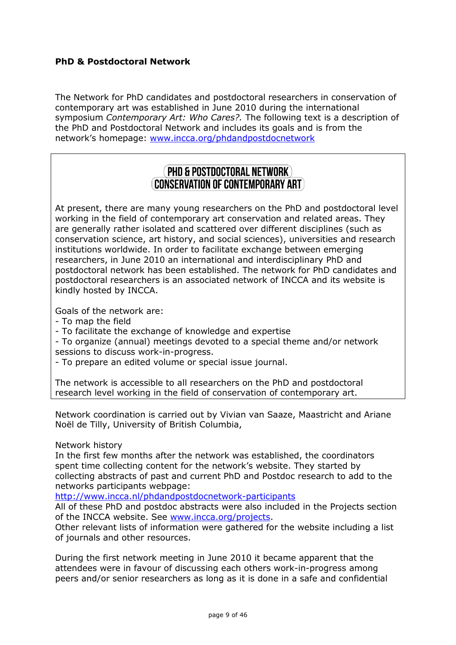# **PhD & Postdoctoral Network**

The Network for PhD candidates and postdoctoral researchers in conservation of contemporary art was established in June 2010 during the international symposium *Contemporary Art: Who Cares?.* The following text is a description of the PhD and Postdoctoral Network and includes its goals and is from the network's homepage: [www.incca.org/phdandpostdocnetwork](http://www.incca.org/phdandpostdocnetwork)

# **PHD & POSTDOCTORAL NETWORK** CONSERVATION OF CONTEMPORARY ART )

At present, there are many young researchers on the PhD and postdoctoral level working in the field of contemporary art conservation and related areas. They are generally rather isolated and scattered over different disciplines (such as conservation science, art history, and social sciences), universities and research institutions worldwide. In order to facilitate exchange between emerging researchers, in June 2010 an international and interdisciplinary PhD and postdoctoral network has been established. The network for PhD candidates and postdoctoral researchers is an associated network of INCCA and its website is kindly hosted by INCCA.

Goals of the network are:

- To map the field
- To facilitate the exchange of knowledge and expertise

- To organize (annual) meetings devoted to a special theme and/or network sessions to discuss work-in-progress.

- To prepare an edited volume or special issue journal.

The network is accessible to all researchers on the PhD and postdoctoral research level working in the field of conservation of contemporary art.

Network coordination is carried out by Vivian van Saaze, Maastricht and Ariane Noël de Tilly, University of British Columbia,

Network history

In the first few months after the network was established, the coordinators spent time collecting content for the network's website. They started by collecting abstracts of past and current PhD and Postdoc research to add to the networks participants webpage:

<http://www.incca.nl/phdandpostdocnetwork-participants>

All of these PhD and postdoc abstracts were also included in the Projects section of the INCCA website. See [www.incca.org/projects.](http://www.incca.org/projects)

Other relevant lists of information were gathered for the website including a list of journals and other resources.

During the first network meeting in June 2010 it became apparent that the attendees were in favour of discussing each others work-in-progress among peers and/or senior researchers as long as it is done in a safe and confidential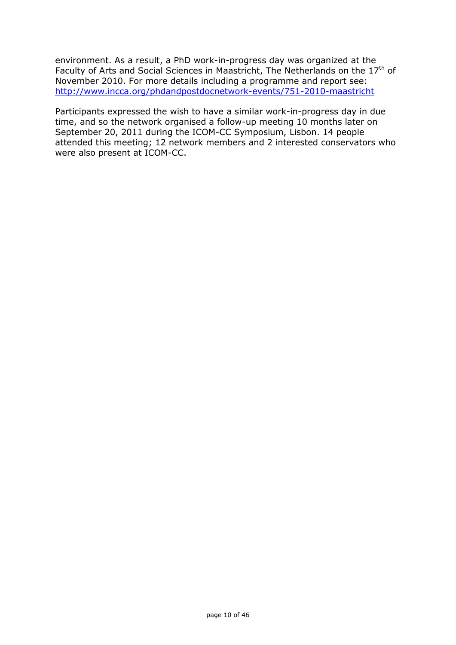environment. As a result, a PhD work-in-progress day was organized at the Faculty of Arts and Social Sciences in Maastricht, The Netherlands on the  $17<sup>th</sup>$  of November 2010. For more details including a programme and report see: <http://www.incca.org/phdandpostdocnetwork-events/751-2010-maastricht>

Participants expressed the wish to have a similar work-in-progress day in due time, and so the network organised a follow-up meeting 10 months later on September 20, 2011 during the ICOM-CC Symposium, Lisbon. 14 people attended this meeting; 12 network members and 2 interested conservators who were also present at ICOM-CC.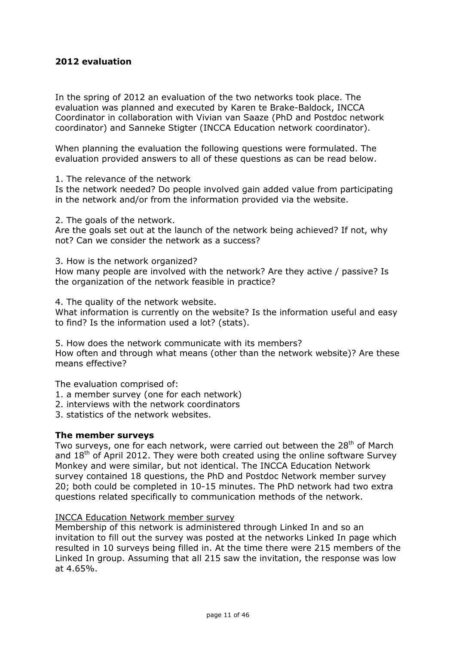### **2012 evaluation**

In the spring of 2012 an evaluation of the two networks took place. The evaluation was planned and executed by Karen te Brake-Baldock, INCCA Coordinator in collaboration with Vivian van Saaze (PhD and Postdoc network coordinator) and Sanneke Stigter (INCCA Education network coordinator).

When planning the evaluation the following questions were formulated. The evaluation provided answers to all of these questions as can be read below.

1. The relevance of the network

Is the network needed? Do people involved gain added value from participating in the network and/or from the information provided via the website.

2. The goals of the network.

Are the goals set out at the launch of the network being achieved? If not, why not? Can we consider the network as a success?

3. How is the network organized? How many people are involved with the network? Are they active / passive? Is the organization of the network feasible in practice?

4. The quality of the network website.

What information is currently on the website? Is the information useful and easy to find? Is the information used a lot? (stats).

5. How does the network communicate with its members? How often and through what means (other than the network website)? Are these means effective?

The evaluation comprised of:

- 1. a member survey (one for each network)
- 2. interviews with the network coordinators
- 3. statistics of the network websites.

#### **The member surveys**

Two surveys, one for each network, were carried out between the 28<sup>th</sup> of March and  $18<sup>th</sup>$  of April 2012. They were both created using the online software Survey Monkey and were similar, but not identical. The INCCA Education Network survey contained 18 questions, the PhD and Postdoc Network member survey 20; both could be completed in 10-15 minutes. The PhD network had two extra questions related specifically to communication methods of the network.

#### INCCA Education Network member survey

Membership of this network is administered through Linked In and so an invitation to fill out the survey was posted at the networks Linked In page which resulted in 10 surveys being filled in. At the time there were 215 members of the Linked In group. Assuming that all 215 saw the invitation, the response was low at 4.65%.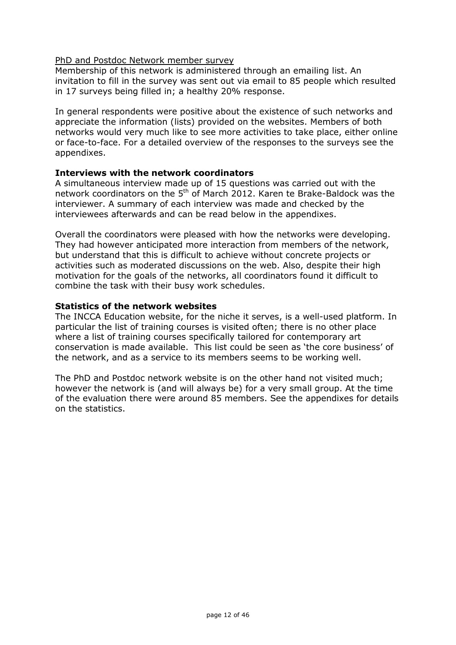### PhD and Postdoc Network member survey

Membership of this network is administered through an emailing list. An invitation to fill in the survey was sent out via email to 85 people which resulted in 17 surveys being filled in; a healthy 20% response.

In general respondents were positive about the existence of such networks and appreciate the information (lists) provided on the websites. Members of both networks would very much like to see more activities to take place, either online or face-to-face. For a detailed overview of the responses to the surveys see the appendixes.

### **Interviews with the network coordinators**

A simultaneous interview made up of 15 questions was carried out with the network coordinators on the 5<sup>th</sup> of March 2012. Karen te Brake-Baldock was the interviewer. A summary of each interview was made and checked by the interviewees afterwards and can be read below in the appendixes.

Overall the coordinators were pleased with how the networks were developing. They had however anticipated more interaction from members of the network, but understand that this is difficult to achieve without concrete projects or activities such as moderated discussions on the web. Also, despite their high motivation for the goals of the networks, all coordinators found it difficult to combine the task with their busy work schedules.

### **Statistics of the network websites**

The INCCA Education website, for the niche it serves, is a well-used platform. In particular the list of training courses is visited often; there is no other place where a list of training courses specifically tailored for contemporary art conservation is made available. This list could be seen as 'the core business' of the network, and as a service to its members seems to be working well.

The PhD and Postdoc network website is on the other hand not visited much; however the network is (and will always be) for a very small group. At the time of the evaluation there were around 85 members. See the appendixes for details on the statistics.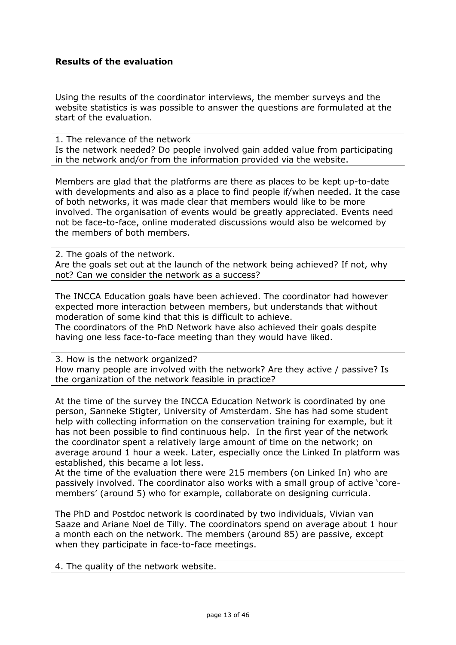### **Results of the evaluation**

Using the results of the coordinator interviews, the member surveys and the website statistics is was possible to answer the questions are formulated at the start of the evaluation.

1. The relevance of the network Is the network needed? Do people involved gain added value from participating in the network and/or from the information provided via the website.

Members are glad that the platforms are there as places to be kept up-to-date with developments and also as a place to find people if/when needed. It the case of both networks, it was made clear that members would like to be more involved. The organisation of events would be greatly appreciated. Events need not be face-to-face, online moderated discussions would also be welcomed by the members of both members.

2. The goals of the network. Are the goals set out at the launch of the network being achieved? If not, why not? Can we consider the network as a success?

The INCCA Education goals have been achieved. The coordinator had however expected more interaction between members, but understands that without moderation of some kind that this is difficult to achieve.

The coordinators of the PhD Network have also achieved their goals despite having one less face-to-face meeting than they would have liked.

3. How is the network organized? How many people are involved with the network? Are they active / passive? Is the organization of the network feasible in practice?

At the time of the survey the INCCA Education Network is coordinated by one person, Sanneke Stigter, University of Amsterdam. She has had some student help with collecting information on the conservation training for example, but it has not been possible to find continuous help. In the first year of the network the coordinator spent a relatively large amount of time on the network; on average around 1 hour a week. Later, especially once the Linked In platform was established, this became a lot less.

At the time of the evaluation there were 215 members (on Linked In) who are passively involved. The coordinator also works with a small group of active 'coremembers' (around 5) who for example, collaborate on designing curricula.

The PhD and Postdoc network is coordinated by two individuals, Vivian van Saaze and Ariane Noel de Tilly. The coordinators spend on average about 1 hour a month each on the network. The members (around 85) are passive, except when they participate in face-to-face meetings.

4. The quality of the network website.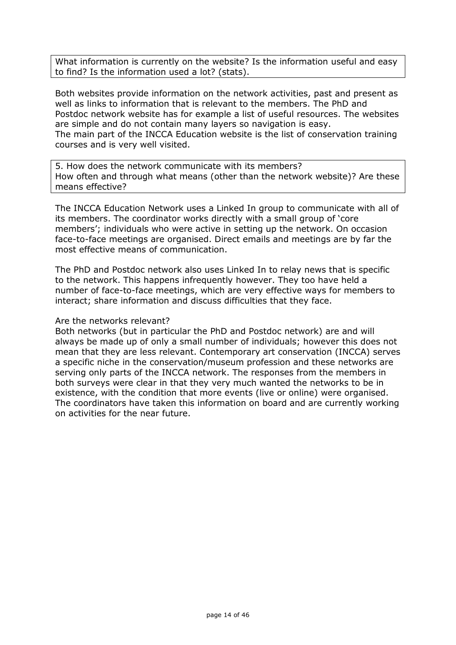What information is currently on the website? Is the information useful and easy to find? Is the information used a lot? (stats).

Both websites provide information on the network activities, past and present as well as links to information that is relevant to the members. The PhD and Postdoc network website has for example a list of useful resources. The websites are simple and do not contain many layers so navigation is easy. The main part of the INCCA Education website is the list of conservation training courses and is very well visited.

5. How does the network communicate with its members? How often and through what means (other than the network website)? Are these means effective?

The INCCA Education Network uses a Linked In group to communicate with all of its members. The coordinator works directly with a small group of 'core members'; individuals who were active in setting up the network. On occasion face-to-face meetings are organised. Direct emails and meetings are by far the most effective means of communication.

The PhD and Postdoc network also uses Linked In to relay news that is specific to the network. This happens infrequently however. They too have held a number of face-to-face meetings, which are very effective ways for members to interact; share information and discuss difficulties that they face.

#### Are the networks relevant?

Both networks (but in particular the PhD and Postdoc network) are and will always be made up of only a small number of individuals; however this does not mean that they are less relevant. Contemporary art conservation (INCCA) serves a specific niche in the conservation/museum profession and these networks are serving only parts of the INCCA network. The responses from the members in both surveys were clear in that they very much wanted the networks to be in existence, with the condition that more events (live or online) were organised. The coordinators have taken this information on board and are currently working on activities for the near future.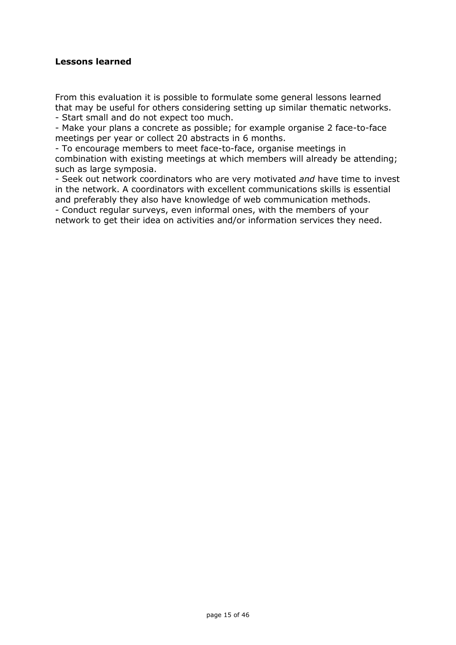### **Lessons learned**

From this evaluation it is possible to formulate some general lessons learned that may be useful for others considering setting up similar thematic networks. - Start small and do not expect too much.

- Make your plans a concrete as possible; for example organise 2 face-to-face meetings per year or collect 20 abstracts in 6 months.

- To encourage members to meet face-to-face, organise meetings in combination with existing meetings at which members will already be attending; such as large symposia.

- Seek out network coordinators who are very motivated *and* have time to invest in the network. A coordinators with excellent communications skills is essential and preferably they also have knowledge of web communication methods.

- Conduct regular surveys, even informal ones, with the members of your network to get their idea on activities and/or information services they need.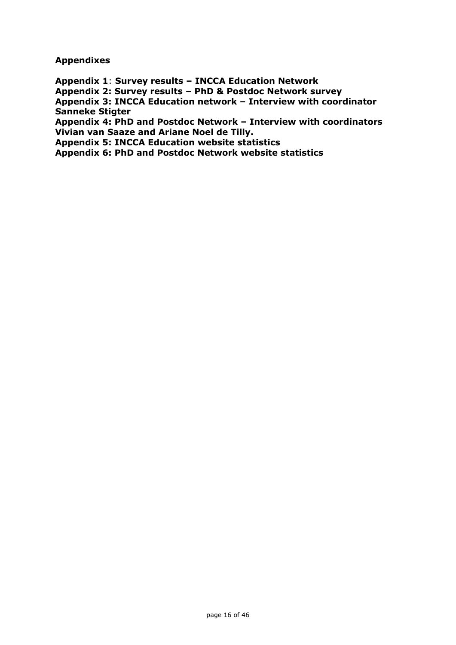**Appendixes**

**Appendix 1**: **Survey results – INCCA Education Network**

**Appendix 2: Survey results – PhD & Postdoc Network survey**

**Appendix 3: INCCA Education network – Interview with coordinator Sanneke Stigter**

**Appendix 4: PhD and Postdoc Network – Interview with coordinators Vivian van Saaze and Ariane Noel de Tilly.**

**Appendix 5: INCCA Education website statistics**

**Appendix 6: PhD and Postdoc Network website statistics**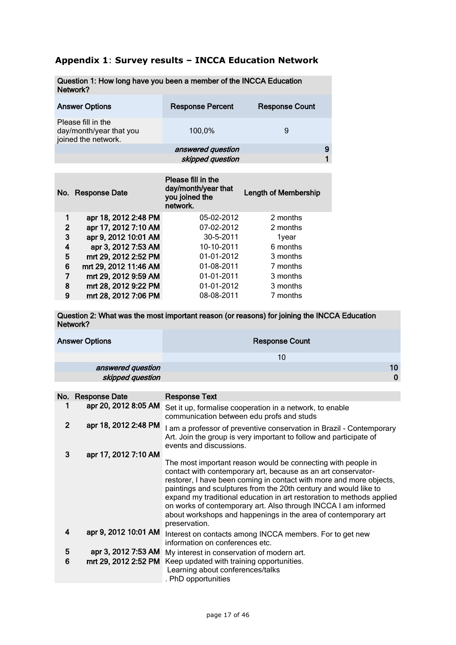# **Appendix 1**: **Survey results – INCCA Education Network**

| Question 1: How long have you been a member of the INCCA Education<br>Network? |                         |                       |   |  |  |  |  |
|--------------------------------------------------------------------------------|-------------------------|-----------------------|---|--|--|--|--|
| <b>Answer Options</b>                                                          | <b>Response Percent</b> | <b>Response Count</b> |   |  |  |  |  |
| Please fill in the<br>day/month/year that you<br>joined the network.           | 100,0%                  | 9                     |   |  |  |  |  |
|                                                                                | answered question       |                       | 9 |  |  |  |  |
|                                                                                | skipped question        |                       |   |  |  |  |  |

| No. | <b>Response Date</b>  | Please fill in the<br>day/month/year that<br>you joined the<br>network. | <b>Length of Membership</b> |
|-----|-----------------------|-------------------------------------------------------------------------|-----------------------------|
| 1   | apr 18, 2012 2:48 PM  | 05-02-2012                                                              | 2 months                    |
| 2   | apr 17, 2012 7:10 AM  | 07-02-2012                                                              | 2 months                    |
| 3   | apr 9, 2012 10:01 AM  | 30-5-2011                                                               | 1year                       |
| 4   | apr 3, 2012 7:53 AM   | 10-10-2011                                                              | 6 months                    |
| 5   | mrt 29, 2012 2:52 PM  | 01-01-2012                                                              | 3 months                    |
| 6   | mrt 29, 2012 11:46 AM | 01-08-2011                                                              | 7 months                    |
| 7   | mrt 29, 2012 9:59 AM  | 01-01-2011                                                              | 3 months                    |
| 8   | mrt 28, 2012 9:22 PM  | 01-01-2012                                                              | 3 months                    |
| 9   | mrt 28, 2012 7:06 PM  | 08-08-2011                                                              | 7 months                    |

Question 2: What was the most important reason (or reasons) for joining the INCCA Education Network?

| <b>Answer Options</b> | <b>Response Count</b> |
|-----------------------|-----------------------|
|                       | 10                    |
| answered question     | 10                    |
| skipped question      | $\Omega$              |

|                         | No. Response Date    | <b>Response Text</b>                                                                                                                                                                                                                                                                                                                                                                                                                                                                                   |
|-------------------------|----------------------|--------------------------------------------------------------------------------------------------------------------------------------------------------------------------------------------------------------------------------------------------------------------------------------------------------------------------------------------------------------------------------------------------------------------------------------------------------------------------------------------------------|
| 1                       | apr 20, 2012 8:05 AM | Set it up, formalise cooperation in a network, to enable<br>communication between edu profs and studs                                                                                                                                                                                                                                                                                                                                                                                                  |
| $\overline{2}$          | apr 18, 2012 2:48 PM | I am a professor of preventive conservation in Brazil - Contemporary<br>Art. Join the group is very important to follow and participate of<br>events and discussions.                                                                                                                                                                                                                                                                                                                                  |
| 3                       | apr 17, 2012 7:10 AM |                                                                                                                                                                                                                                                                                                                                                                                                                                                                                                        |
|                         |                      | The most important reason would be connecting with people in<br>contact with contemporary art, because as an art conservator-<br>restorer, I have been coming in contact with more and more objects,<br>paintings and sculptures from the 20th century and would like to<br>expand my traditional education in art restoration to methods applied<br>on works of contemporary art. Also through INCCA I am informed<br>about workshops and happenings in the area of contemporary art<br>preservation. |
| $\overline{\mathbf{4}}$ | apr 9, 2012 10:01 AM | Interest on contacts among INCCA members. For to get new<br>information on conferences etc.                                                                                                                                                                                                                                                                                                                                                                                                            |
| 5                       | apr 3, 2012 7:53 AM  | My interest in conservation of modern art.                                                                                                                                                                                                                                                                                                                                                                                                                                                             |
| 6                       | mrt 29, 2012 2:52 PM | Keep updated with training opportunities.<br>Learning about conferences/talks<br>. PhD opportunities                                                                                                                                                                                                                                                                                                                                                                                                   |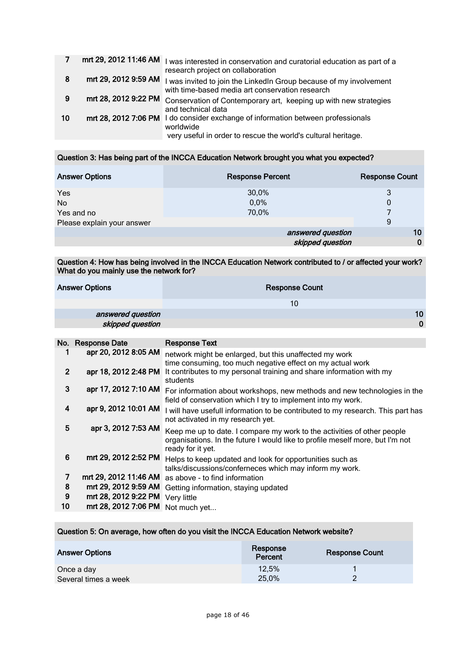|    | mrt 29, 2012 11:46 AM | I was interested in conservation and curatorial education as part of a<br>research project on collaboration                                                    |
|----|-----------------------|----------------------------------------------------------------------------------------------------------------------------------------------------------------|
| 8  | mrt 29, 2012 9:59 AM  | I was invited to join the LinkedIn Group because of my involvement<br>with time-based media art conservation research                                          |
| 9  | mrt 28, 2012 9:22 PM  | Conservation of Contemporary art, keeping up with new strategies<br>and technical data                                                                         |
| 10 |                       | mrt 28, 2012 7:06 PM I do consider exchange of information between professionals<br>worldwide<br>very useful in order to rescue the world's cultural heritage. |

#### Question 3: Has being part of the INCCA Education Network brought you what you expected?

| <b>Answer Options</b>      | <b>Response Percent</b> | <b>Response Count</b> |
|----------------------------|-------------------------|-----------------------|
| Yes                        | 30,0%                   | 3                     |
| <b>No</b>                  | 0,0%                    | $\mathbf{0}$          |
| Yes and no                 | 70,0%                   |                       |
| Please explain your answer |                         | 9                     |
|                            | answered question       | 10                    |
|                            | skipped question        | $\bf{0}$              |

#### Question 4: How has being involved in the INCCA Education Network contributed to / or affected your work? What do you mainly use the network for?

| <b>Answer Options</b> | <b>Response Count</b> |
|-----------------------|-----------------------|
|                       | 10                    |
| answered question     | 10 <sup>°</sup>       |
| skipped question      | $\Omega$              |

|                | No. Response Date     | <b>Response Text</b>                                                            |
|----------------|-----------------------|---------------------------------------------------------------------------------|
|                | apr 20, 2012 8:05 AM  |                                                                                 |
|                |                       | network might be enlarged, but this unaffected my work                          |
|                |                       | time consuming, too much negative effect on my actual work                      |
| $\overline{2}$ | apr 18, 2012 2:48 PM  | It contributes to my personal training and share information with my            |
|                |                       | students                                                                        |
| 3              | apr 17, 2012 7:10 AM  | For information about workshops, new methods and new technologies in the        |
|                |                       | field of conservation which I try to implement into my work.                    |
| 4              | apr 9, 2012 10:01 AM  |                                                                                 |
|                |                       | I will have usefull information to be contributed to my research. This part has |
|                |                       | not activated in my research yet.                                               |
| 5              | apr 3, 2012 7:53 AM   | Keep me up to date. I compare my work to the activities of other people         |
|                |                       | organisations. In the future I would like to profile meself more, but I'm not   |
|                |                       | ready for it yet.                                                               |
| 6              | mrt 29, 2012 2:52 PM  |                                                                                 |
|                |                       | Helps to keep updated and look for opportunities such as                        |
|                |                       | talks/discussions/conferneces which may inform my work.                         |
| 7              | mrt 29, 2012 11:46 AM | as above - to find information                                                  |
| 8              | mrt 29, 2012 9:59 AM  | Getting information, staying updated                                            |
| 9              | mrt 28, 2012 9:22 PM  | Very little                                                                     |
| 10             | mrt 28, 2012 7:06 PM  |                                                                                 |
|                |                       | Not much yet                                                                    |

#### Question 5: On average, how often do you visit the INCCA Education Network website?

| <b>Answer Options</b>              | Response<br>Percent | <b>Response Count</b> |
|------------------------------------|---------------------|-----------------------|
| Once a day<br>Several times a week | 12.5%<br>25,0%      |                       |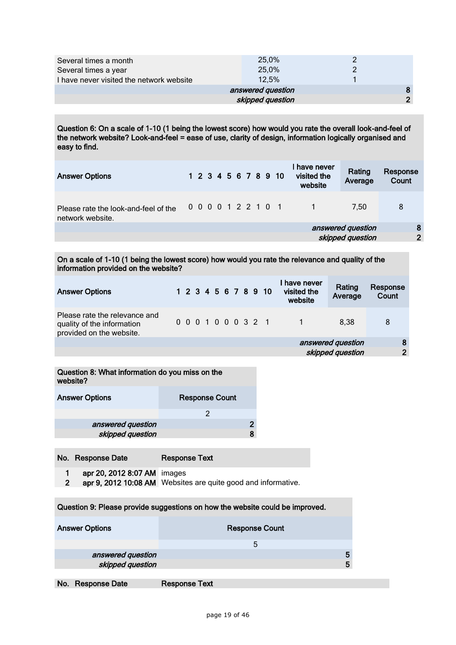| Several times a month<br>Several times a year | 25,0%<br>25,0%    |   |
|-----------------------------------------------|-------------------|---|
| I have never visited the network website      | 12.5%             |   |
|                                               | answered question |   |
|                                               | skipped question  | ີ |

Question 6: On a scale of 1-10 (1 being the lowest score) how would you rate the overall look-and-feel of the network website? Look-and-feel = ease of use, clarity of design, information logically organised and easy to find.

| <b>Answer Options</b>                                    |  |  |  |  | 1 2 3 4 5 6 7 8 9 10 | have never<br>visited the<br>website | Rating<br>Average | Response<br>Count |
|----------------------------------------------------------|--|--|--|--|----------------------|--------------------------------------|-------------------|-------------------|
| Please rate the look-and-feel of the<br>network website. |  |  |  |  | 0 0 0 0 1 2 2 1 0 1  |                                      | 7.50              | 8                 |
|                                                          |  |  |  |  |                      |                                      | answered question | 8                 |
|                                                          |  |  |  |  |                      |                                      | skipped question  | $\overline{2}$    |
|                                                          |  |  |  |  |                      |                                      |                   |                   |

On a scale of 1-10 (1 being the lowest score) how would you rate the relevance and quality of the information provided on the website?

| <b>Answer Options</b>                                                                   |  |  |  |  |                     | 1 2 3 4 5 6 7 8 9 10 | I have never<br>visited the<br>website | Rating<br>Average | Response<br>Count |
|-----------------------------------------------------------------------------------------|--|--|--|--|---------------------|----------------------|----------------------------------------|-------------------|-------------------|
| Please rate the relevance and<br>quality of the information<br>provided on the website. |  |  |  |  | 0 0 0 1 0 0 0 3 2 1 |                      |                                        | 8.38              | 8                 |
|                                                                                         |  |  |  |  |                     |                      |                                        | answered question | 8                 |
|                                                                                         |  |  |  |  |                     |                      |                                        | skipped question  | ∩                 |

#### Question 8: What information do you miss on the website?

| <b>Answer Options</b> | <b>Response Count</b> |  |
|-----------------------|-----------------------|--|
|                       |                       |  |
| answered question     |                       |  |
| skipped question      |                       |  |

No. Response Date Response Text

1 apr 20, 2012 8:07 AM images

2 apr 9, 2012 10:08 AM Websites are quite good and informative.

# Question 9: Please provide suggestions on how the website could be improved. Answer Options **Response Count** 5 answered question 5 and 5 and 5 and 5 and 5 and 5 and 5 and 5 and 5 and 5 and 5 and 5 and 5 and 5 and 5 and 5 skipped question 5 and 5 and 5 and 5 and 5 and 5 and 5 and 5 and 5 and 5 and 5 and 5 and 5 and 5 and 5 and 5 and 5 and 5 and 5 and 5 and 5 and 5 and 5 and 5 and 5 and 5 and 5 and 5 and 5 and 5 and 5 and 5 and 5 and 5 and 5

No. Response Date Response Text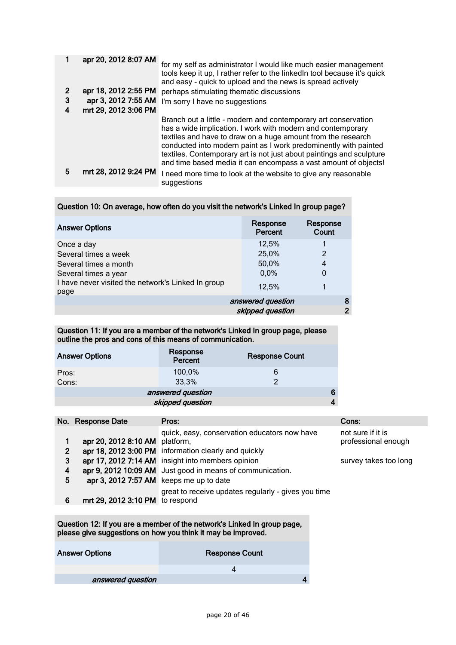|   | apr 20, 2012 8:07 AM | for my self as administrator I would like much easier management<br>tools keep it up, I rather refer to the linked n tool because it's quick<br>and easy - quick to upload and the news is spread actively                                                                                                                                                                                                   |
|---|----------------------|--------------------------------------------------------------------------------------------------------------------------------------------------------------------------------------------------------------------------------------------------------------------------------------------------------------------------------------------------------------------------------------------------------------|
|   | apr 18, 2012 2:55 PM | perhaps stimulating thematic discussions                                                                                                                                                                                                                                                                                                                                                                     |
| 3 | apr 3, 2012 7:55 AM  | I'm sorry I have no suggestions                                                                                                                                                                                                                                                                                                                                                                              |
|   | mrt 29, 2012 3:06 PM |                                                                                                                                                                                                                                                                                                                                                                                                              |
|   |                      | Branch out a little - modern and contemporary art conservation<br>has a wide implication. I work with modern and contemporary<br>textiles and have to draw on a huge amount from the research<br>conducted into modern paint as I work predominently with painted<br>textiles. Contemporary art is not just about paintings and sculpture<br>and time based media it can encompass a vast amount of objects! |
| 5 | mrt 28, 2012 9:24 PM | I need more time to look at the website to give any reasonable<br>suggestions                                                                                                                                                                                                                                                                                                                                |

| Question 10: On average, how often do you visit the network's Linked In group page? |
|-------------------------------------------------------------------------------------|
|-------------------------------------------------------------------------------------|

| <b>Answer Options</b>                                      | Response<br>Percent | Response<br>Count |
|------------------------------------------------------------|---------------------|-------------------|
| Once a day                                                 | 12,5%               |                   |
| Several times a week                                       | 25,0%               | 2                 |
| Several times a month                                      | 50,0%               | 4                 |
| Several times a year                                       | 0,0%                | 0                 |
| I have never visited the network's Linked In group<br>page | 12,5%               |                   |
|                                                            | answered question   | 8                 |
|                                                            | skipped question    | ∍                 |

Question 11: If you are a member of the network's Linked In group page, please outline the pros and cons of this means of communication.

| <b>Answer Options</b>  | Response<br>Percent | <b>Response Count</b> |  |  |
|------------------------|---------------------|-----------------------|--|--|
| Pros:<br>Cons:         | 100,0%<br>33,3%     | 6<br>າ                |  |  |
| answered question<br>6 |                     |                       |  |  |
| skipped question       |                     |                       |  |  |

|                  | No. Response Date                                                         | Pros:                                                                                                                                                                                                                  | Cons:                                                             |
|------------------|---------------------------------------------------------------------------|------------------------------------------------------------------------------------------------------------------------------------------------------------------------------------------------------------------------|-------------------------------------------------------------------|
| 2<br>3<br>4<br>5 | apr 20, 2012 8:10 AM platform,<br>apr 3, 2012 7:57 AM keeps me up to date | quick, easy, conservation educators now have<br>apr 18, 2012 3:00 PM information clearly and quickly<br>apr 17, 2012 7:14 AM insight into members opinion<br>apr 9, 2012 10:09 AM Just good in means of communication. | not sure if it is<br>professional enough<br>survey takes too long |
| 6                | mrt 29, 2012 3:10 PM to respond                                           | great to receive updates regularly - gives you time                                                                                                                                                                    |                                                                   |

Question 12: If you are a member of the network's Linked In group page, please give suggestions on how you think it may be improved.

| <b>Answer Options</b> | <b>Response Count</b> |
|-----------------------|-----------------------|
|                       |                       |
| answered question     |                       |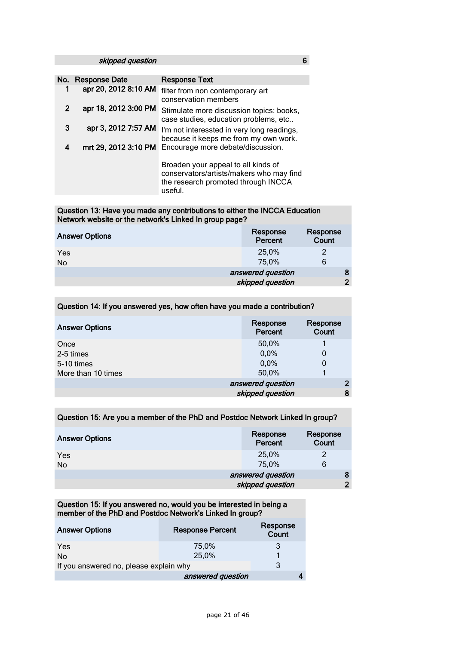skipped question 6 and 6 and 6 and 6 and 6 and 6 and 6 and 6 and 6 and 6 and 6 and 6 and 6 and 6 and 6 and 6 and 6 and 6 and 6 and 6 and 6 and 6 and 6 and 6 and 6 and 6 and 6 and 6 and 6 and 6 and 6 and 6 and 6 and 6 and 6

|                | No. Response Date    | <b>Response Text</b>                                                                                                              |
|----------------|----------------------|-----------------------------------------------------------------------------------------------------------------------------------|
|                | apr 20, 2012 8:10 AM | filter from non contemporary art<br>conservation members                                                                          |
| $\overline{2}$ | apr 18, 2012 3:00 PM | Stimulate more discussion topics: books,<br>case studies, education problems, etc                                                 |
| 3              | apr 3, 2012 7:57 AM  | I'm not interessted in very long readings,<br>because it keeps me from my own work.                                               |
| 4              | mrt 29, 2012 3:10 PM | Encourage more debate/discussion.                                                                                                 |
|                |                      | Broaden your appeal to all kinds of<br>conservators/artists/makers who may find<br>the research promoted through INCCA<br>useful. |

#### Question 13: Have you made any contributions to either the INCCA Education Network website or the network's Linked In group page?

| <b>Answer Options</b> | Response<br>Percent | Response<br>Count |
|-----------------------|---------------------|-------------------|
| Yes<br>No             | 25,0%<br>75,0%      | 2<br>6            |
|                       | answered question   |                   |
|                       | skipped question    | ◠                 |

### Question 14: If you answered yes, how often have you made a contribution?

| <b>Answer Options</b> | Response<br>Percent | Response<br>Count |
|-----------------------|---------------------|-------------------|
| Once                  | 50,0%               |                   |
| 2-5 times             | 0,0%                | 0                 |
| 5-10 times            | 0,0%                | 0                 |
| More than 10 times    | 50,0%               |                   |
|                       | answered question   | 2                 |
|                       | skipped question    | 8                 |

#### Question 15: Are you a member of the PhD and Postdoc Network Linked In group?

| <b>Answer Options</b> | Response<br>Percent | Response<br>Count |
|-----------------------|---------------------|-------------------|
| Yes                   | 25,0%               | 2                 |
| No                    | 75,0%               | 6                 |
|                       | answered question   | 8                 |
|                       | skipped question    | $\overline{2}$    |

Question 15: If you answered no, would you be interested in being a member of the PhD and Postdoc Network's Linked In group?

| <b>Answer Options</b>                  | <b>Response Percent</b> | Response<br>Count |
|----------------------------------------|-------------------------|-------------------|
| Yes                                    | 75,0%                   |                   |
| No.                                    | 25,0%                   |                   |
| If you answered no, please explain why |                         | 3                 |
|                                        | answered question       |                   |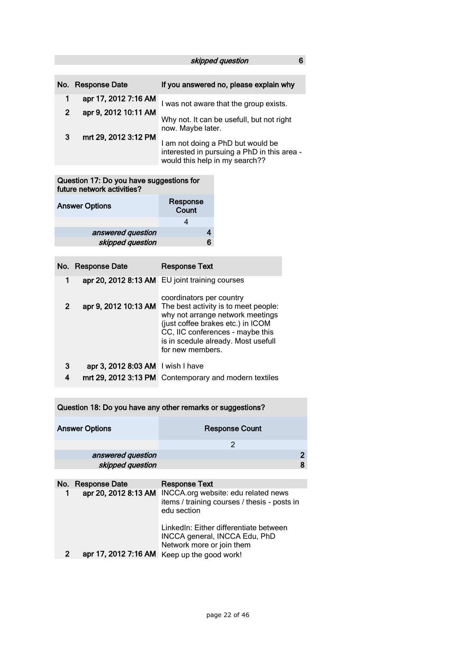# skipped question 6

|              | No. Response Date    | If you answered no, please explain why                                                                             |
|--------------|----------------------|--------------------------------------------------------------------------------------------------------------------|
|              | apr 17, 2012 7:16 AM | I was not aware that the group exists.                                                                             |
| $\mathbf{2}$ | apr 9, 2012 10:11 AM | Why not. It can be usefull, but not right<br>now. Maybe later.                                                     |
| 3            | mrt 29, 2012 3:12 PM | I am not doing a PhD but would be<br>interested in pursuing a PhD in this area -<br>would this help in my search?? |

#### Question 17: Do you have suggestions for future network activities?

| <b>Answer Options</b> | Response<br>Count |
|-----------------------|-------------------|
|                       |                   |
| answered question     |                   |
| skipped question      |                   |

|   | No. Response Date                 | <b>Response Text</b>                                                                                                                                                                                         |
|---|-----------------------------------|--------------------------------------------------------------------------------------------------------------------------------------------------------------------------------------------------------------|
| 1 |                                   | apr 20, 2012 8:13 AM EU joint training courses<br>coordinators per country                                                                                                                                   |
| 2 | apr 9, 2012 10:13 AM              | The best activity is to meet people:<br>why not arrange network meetings<br>(just coffee brakes etc.) in ICOM<br>CC, IIC conferences - maybe this<br>is in scedule already. Most usefull<br>for new members. |
| 3 | apr 3, 2012 8:03 AM I wish I have |                                                                                                                                                                                                              |
| 4 | mrt 29, 2012 3:13 PM              | Contemporary and modern textiles                                                                                                                                                                             |

| Question 18: Do you have any other remarks or suggestions? |                       |                                                                                                    |   |
|------------------------------------------------------------|-----------------------|----------------------------------------------------------------------------------------------------|---|
|                                                            | <b>Answer Options</b> | <b>Response Count</b>                                                                              |   |
|                                                            |                       | 2                                                                                                  |   |
|                                                            | answered question     |                                                                                                    | 2 |
|                                                            | skipped question      |                                                                                                    | 8 |
|                                                            |                       |                                                                                                    |   |
|                                                            | No. Response Date     | <b>Response Text</b>                                                                               |   |
|                                                            | apr 20, 2012 8:13 AM  | INCCA.org website: edu related news<br>items / training courses / thesis - posts in<br>edu section |   |

|  | LinkedIn: Either differentiate between<br>INCCA general, INCCA Edu, PhD<br>Network more or join them |
|--|------------------------------------------------------------------------------------------------------|
|  | apr 17, 2012 7:16 AM Keep up the good work!                                                          |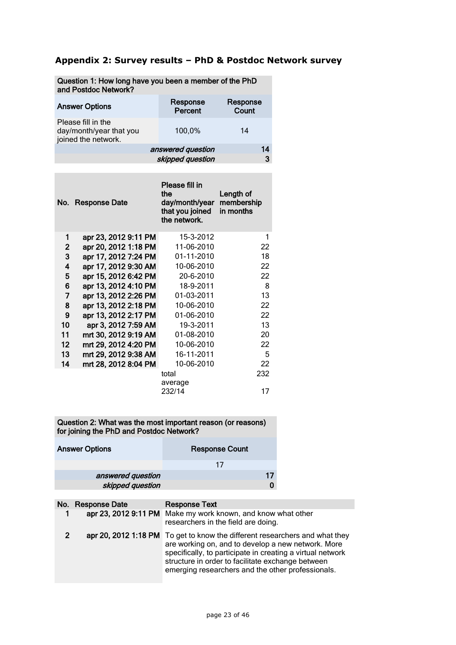# **Appendix 2: Survey results – PhD & Postdoc Network survey**

| Question 1: How long have you been a member of the PhD<br>and Postdoc Network? |                     |                   |
|--------------------------------------------------------------------------------|---------------------|-------------------|
| <b>Answer Options</b>                                                          | Response<br>Percent | Response<br>Count |
| Please fill in the<br>day/month/year that you<br>joined the network.           | 100,0%              | 14                |
|                                                                                | answered question   | 14                |
|                                                                                | skipped question    | 3                 |

Question 1: How long have you been a member of the PhD

| No.          | <b>Response Date</b> | Please fill in<br>the<br>day/month/year<br>that you joined<br>the network. | Length of<br>membership<br>in months |
|--------------|----------------------|----------------------------------------------------------------------------|--------------------------------------|
| 1            | apr 23, 2012 9:11 PM | 15-3-2012                                                                  | 1                                    |
| $\mathbf{2}$ | apr 20, 2012 1:18 PM | 11-06-2010                                                                 | 22                                   |
| 3            | apr 17, 2012 7:24 PM | 01-11-2010                                                                 | 18                                   |
| 4            | apr 17, 2012 9:30 AM | 10-06-2010                                                                 | 22                                   |
| 5            | apr 15, 2012 6:42 PM | 20-6-2010                                                                  | 22                                   |
| 6            | apr 13, 2012 4:10 PM | 18-9-2011                                                                  | 8                                    |
| 7            | apr 13, 2012 2:26 PM | 01-03-2011                                                                 | 13                                   |
| 8            | apr 13, 2012 2:18 PM | 10-06-2010                                                                 | 22                                   |
| 9            | apr 13, 2012 2:17 PM | 01-06-2010                                                                 | 22                                   |
| 10           | apr 3, 2012 7:59 AM  | 19-3-2011                                                                  | 13                                   |
| 11           | mrt 30, 2012 9:19 AM | 01-08-2010                                                                 | 20                                   |
| 12           | mrt 29, 2012 4:20 PM | 10-06-2010                                                                 | 22                                   |
| 13           | mrt 29, 2012 9:38 AM | 16-11-2011                                                                 | 5                                    |
| 14           | mrt 28, 2012 8:04 PM | 10-06-2010                                                                 | 22                                   |
|              |                      | total                                                                      | 232                                  |
|              |                      | average                                                                    |                                      |

Question 2: What was the most important reason (or reasons) for joining the PhD and Postdoc Network?

| <b>Answer Options</b> | <b>Response Count</b> |
|-----------------------|-----------------------|
|                       | 17                    |
| answered question     |                       |
| skipped question      |                       |

|                | No. Response Date | <b>Response Text</b><br>apr 23, 2012 9:11 PM Make my work known, and know what other<br>researchers in the field are doing.                                                                                                                                                                               |
|----------------|-------------------|-----------------------------------------------------------------------------------------------------------------------------------------------------------------------------------------------------------------------------------------------------------------------------------------------------------|
| $\overline{2}$ |                   | apr 20, 2012 1:18 PM To get to know the different researchers and what they<br>are working on, and to develop a new network. More<br>specifically, to participate in creating a virtual network<br>structure in order to facilitate exchange between<br>emerging researchers and the other professionals. |

232/14 17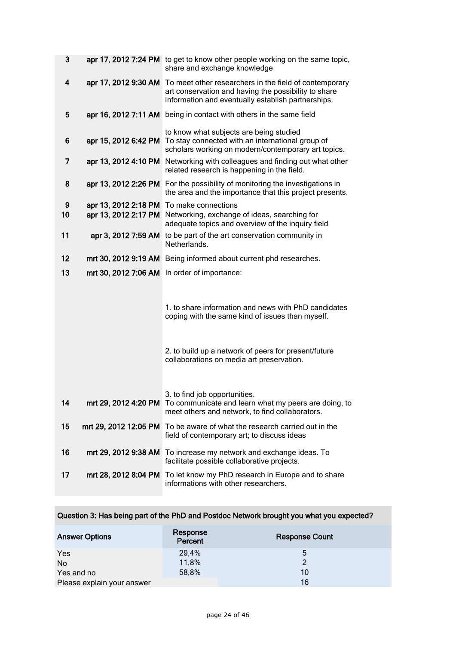| 3                |                                          | apr 17, 2012 7:24 PM to get to know other people working on the same topic,<br>share and exchange knowledge                                                          |
|------------------|------------------------------------------|----------------------------------------------------------------------------------------------------------------------------------------------------------------------|
| 4                | apr 17, 2012 9:30 AM                     | To meet other researchers in the field of contemporary<br>art conservation and having the possibility to share<br>information and eventually establish partnerships. |
| 5                |                                          | apr 16, 2012 7:11 AM being in contact with others in the same field                                                                                                  |
| 6                | apr 15, 2012 6:42 PM                     | to know what subjects are being studied<br>To stay connected with an international group of<br>scholars working on modern/contemporary art topics.                   |
| 7                | apr 13, 2012 4:10 PM                     | Networking with colleagues and finding out what other<br>related research is happening in the field.                                                                 |
| 8                |                                          | apr 13, 2012 2:26 PM For the possibility of monitoring the investigations in<br>the area and the importance that this project presents.                              |
| $\boldsymbol{9}$ | apr 13, 2012 2:18 PM To make connections |                                                                                                                                                                      |
| 10               |                                          | apr 13, 2012 2:17 PM Networking, exchange of ideas, searching for<br>adequate topics and overview of the inquiry field                                               |
| 11               |                                          | apr 3, 2012 7:59 AM to be part of the art conservation community in<br>Netherlands.                                                                                  |
| 12               |                                          | mrt 30, 2012 9:19 AM Being informed about current phd researches.                                                                                                    |
| 13               |                                          | mrt 30, 2012 7:06 AM In order of importance:                                                                                                                         |
|                  |                                          | 1. to share information and news with PhD candidates<br>coping with the same kind of issues than myself.                                                             |
|                  |                                          | 2. to build up a network of peers for present/future<br>collaborations on media art preservation.                                                                    |
| 14               |                                          | 3. to find job opportunities.<br>mrt 29, 2012 4:20 PM To communicate and learn what my peers are doing, to<br>meet others and network, to find collaborators.        |
| 15               | mrt 29, 2012 12:05 PM                    | To be aware of what the research carried out in the<br>field of contemporary art; to discuss ideas                                                                   |
| 16               | mrt 29, 2012 9:38 AM                     | To increase my network and exchange ideas. To<br>facilitate possible collaborative projects.                                                                         |
| 17               |                                          | mrt 28, 2012 8:04 PM To let know my PhD research in Europe and to share<br>informations with other researchers.                                                      |

| Question 3: Has being part of the PhD and Postdoc Network brought you what you expected? |                     |                       |
|------------------------------------------------------------------------------------------|---------------------|-----------------------|
| <b>Answer Options</b>                                                                    | Response<br>Percent | <b>Response Count</b> |
| Yes                                                                                      | 29,4%               | 5                     |
| No                                                                                       | 11,8%               | $\mathcal{P}$         |
| Yes and no                                                                               | 58,8%               | 10                    |
| Please explain your answer                                                               |                     | 16                    |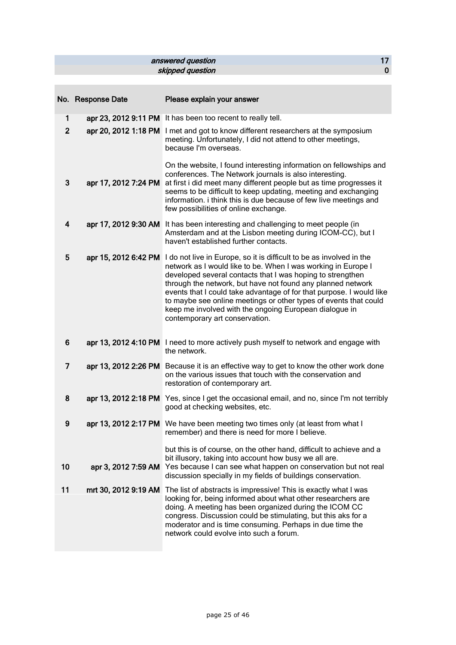### ensuered question answered question and the state of the state of the state of the state of the state of the s<br>
and the skipped question and the state of the state of the state of the state of the state of the state of the skipped question

|                | No. Response Date    | Please explain your answer                                                                                                                                                                                                                                                                                                                                                                                                                                                                                                      |
|----------------|----------------------|---------------------------------------------------------------------------------------------------------------------------------------------------------------------------------------------------------------------------------------------------------------------------------------------------------------------------------------------------------------------------------------------------------------------------------------------------------------------------------------------------------------------------------|
| 1              |                      | apr 23, 2012 9:11 PM It has been too recent to really tell.                                                                                                                                                                                                                                                                                                                                                                                                                                                                     |
| $\overline{2}$ |                      | apr 20, 2012 1:18 PM I met and got to know different researchers at the symposium<br>meeting. Unfortunately, I did not attend to other meetings,<br>because I'm overseas.                                                                                                                                                                                                                                                                                                                                                       |
| 3              | apr 17, 2012 7:24 PM | On the website, I found interesting information on fellowships and<br>conferences. The Network journals is also interesting.<br>at first i did meet many different people but as time progresses it<br>seems to be difficult to keep updating, meeting and exchanging<br>information. i think this is due because of few live meetings and<br>few possibilities of online exchange.                                                                                                                                             |
| 4              |                      | apr 17, 2012 9:30 AM It has been interesting and challenging to meet people (in<br>Amsterdam and at the Lisbon meeting during ICOM-CC), but I<br>haven't established further contacts.                                                                                                                                                                                                                                                                                                                                          |
| 5              |                      | apr 15, 2012 6:42 PM I do not live in Europe, so it is difficult to be as involved in the<br>network as I would like to be. When I was working in Europe I<br>developed several contacts that I was hoping to strengthen<br>through the network, but have not found any planned network<br>events that I could take advantage of for that purpose. I would like<br>to maybe see online meetings or other types of events that could<br>keep me involved with the ongoing European dialogue in<br>contemporary art conservation. |
| 6              |                      | apr 13, 2012 4:10 PM I need to more actively push myself to network and engage with<br>the network.                                                                                                                                                                                                                                                                                                                                                                                                                             |
| $\overline{7}$ |                      | apr 13, 2012 2:26 PM Because it is an effective way to get to know the other work done<br>on the various issues that touch with the conservation and<br>restoration of contemporary art.                                                                                                                                                                                                                                                                                                                                        |
| 8              |                      | apr 13, 2012 2:18 PM Yes, since I get the occasional email, and no, since I'm not terribly<br>good at checking websites, etc.                                                                                                                                                                                                                                                                                                                                                                                                   |
| 9              |                      | apr 13, 2012 2:17 PM We have been meeting two times only (at least from what I<br>remember) and there is need for more I believe.                                                                                                                                                                                                                                                                                                                                                                                               |
| 10             |                      | but this is of course, on the other hand, difficult to achieve and a<br>bit illusory, taking into account how busy we all are.<br>apr 3, 2012 7:59 AM Yes because I can see what happen on conservation but not real<br>discussion specially in my fields of buildings conservation.                                                                                                                                                                                                                                            |
| 11             |                      | mrt 30, 2012 9:19 AM The list of abstracts is impressive! This is exactly what I was<br>looking for, being informed about what other researchers are<br>doing. A meeting has been organized during the ICOM CC<br>congress. Discussion could be stimulating, but this aks for a<br>moderator and is time consuming. Perhaps in due time the<br>network could evolve into such a forum.                                                                                                                                          |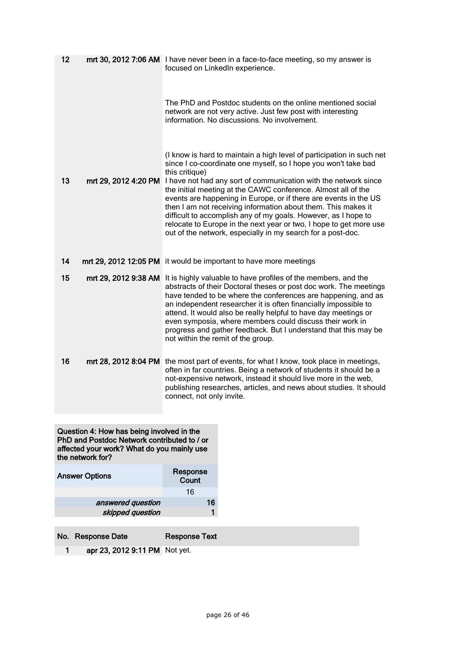| 12 |                      | mrt 30, 2012 7:06 AM I have never been in a face-to-face meeting, so my answer is<br>focused on LinkedIn experience.                                                                                                                                                                                                                                                                                                                                                                                                                                                                                                                                           |
|----|----------------------|----------------------------------------------------------------------------------------------------------------------------------------------------------------------------------------------------------------------------------------------------------------------------------------------------------------------------------------------------------------------------------------------------------------------------------------------------------------------------------------------------------------------------------------------------------------------------------------------------------------------------------------------------------------|
|    |                      | The PhD and Postdoc students on the online mentioned social<br>network are not very active. Just few post with interesting<br>information. No discussions. No involvement.                                                                                                                                                                                                                                                                                                                                                                                                                                                                                     |
| 13 |                      | (I know is hard to maintain a high level of participation in such net<br>since I co-coordinate one myself, so I hope you won't take bad<br>this critique)<br>mrt 29, 2012 4:20 PM I have not had any sort of communication with the network since<br>the initial meeting at the CAWC conference. Almost all of the<br>events are happening in Europe, or if there are events in the US<br>then I am not receiving information about them. This makes it<br>difficult to accomplish any of my goals. However, as I hope to<br>relocate to Europe in the next year or two, I hope to get more use<br>out of the network, especially in my search for a post-doc. |
| 14 |                      | mrt 29, 2012 12:05 PM it would be important to have more meetings                                                                                                                                                                                                                                                                                                                                                                                                                                                                                                                                                                                              |
| 15 | mrt 29, 2012 9:38 AM | It is highly valuable to have profiles of the members, and the<br>abstracts of their Doctoral theses or post doc work. The meetings<br>have tended to be where the conferences are happening, and as<br>an independent researcher it is often financially impossible to<br>attend. It would also be really helpful to have day meetings or<br>even symposia, where members could discuss their work in<br>progress and gather feedback. But I understand that this may be<br>not within the remit of the group.                                                                                                                                                |
| 16 |                      | mrt 28, 2012 8:04 PM the most part of events, for what I know, took place in meetings,<br>often in far countries. Being a network of students it should be a<br>not-expensive network, instead it should live more in the web,<br>publishing researches, articles, and news about studies. It should<br>connect, not only invite.                                                                                                                                                                                                                                                                                                                              |

Question 4: How has being involved in the PhD and Postdoc Network contributed to / or affected your work? What do you mainly use the network for?

| <b>Answer Options</b> | Response<br>Count |  |  |
|-----------------------|-------------------|--|--|
|                       | 16                |  |  |
| answered question     | 16                |  |  |
| skipped question      |                   |  |  |
|                       |                   |  |  |

No. Response Date Response Text

1 apr 23, 2012 9:11 PM Not yet.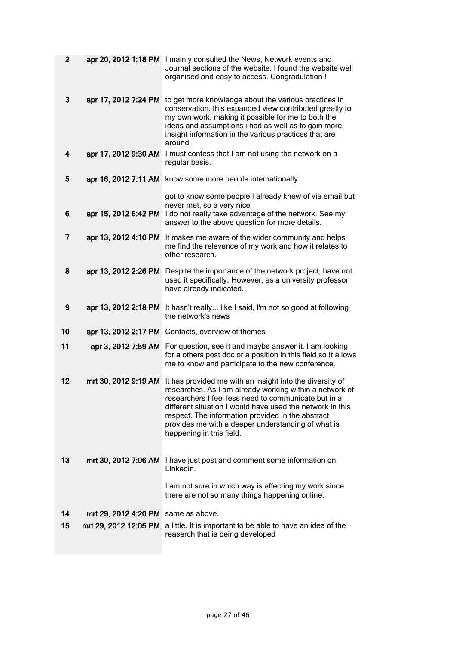| $\overline{2}$ |                       | apr 20, 2012 1:18 PM I mainly consulted the News, Network events and<br>Journal sections of the website. I found the website well<br>organised and easy to access. Congradulation !                                                                                                                                                                                             |
|----------------|-----------------------|---------------------------------------------------------------------------------------------------------------------------------------------------------------------------------------------------------------------------------------------------------------------------------------------------------------------------------------------------------------------------------|
| 3              | apr 17, 2012 7:24 PM  | to get more knowledge about the various practices in<br>conservation. this expanded view contributed greatly to<br>my own work, making it possible for me to both the<br>ideas and assumptions i had as well as to gain more<br>insight information in the various practices that are<br>around.                                                                                |
| 4              |                       | apr 17, 2012 9:30 AM I must confess that I am not using the network on a<br>regular basis.                                                                                                                                                                                                                                                                                      |
| 5              |                       | apr 16, 2012 7:11 AM know some more people internationally                                                                                                                                                                                                                                                                                                                      |
|                |                       | got to know some people I already knew of via email but<br>never met, so a very nice                                                                                                                                                                                                                                                                                            |
| 6              |                       | apr 15, 2012 6:42 PM I do not really take advantage of the network. See my<br>answer to the above question for more details.                                                                                                                                                                                                                                                    |
| 7              | apr 13, 2012 4:10 PM  | It makes me aware of the wider community and helps<br>me find the relevance of my work and how it relates to<br>other research.                                                                                                                                                                                                                                                 |
| 8              | apr 13, 2012 2:26 PM  | Despite the importance of the network project, have not<br>used it specifically. However, as a university professor<br>have already indicated.                                                                                                                                                                                                                                  |
| 9              | apr 13, 2012 2:18 PM  | It hasn't really like I said, I'm not so good at following<br>the network's news                                                                                                                                                                                                                                                                                                |
| 10             | apr 13, 2012 2:17 PM  | Contacts, overview of themes                                                                                                                                                                                                                                                                                                                                                    |
| 11             | apr 3, 2012 7:59 AM   | For question, see it and maybe answer it. I am looking<br>for a others post doc or a position in this field so It allows<br>me to know and participate to the new conference.                                                                                                                                                                                                   |
| 12             | mrt 30, 2012 9:19 AM  | It has provided me with an insight into the diversity of<br>researches. As I am already working within a network of<br>researchers I feel less need to communicate but in a<br>different situation I would have used the network in this<br>respect. The information provided in the abstract<br>provides me with a deeper understanding of what is<br>happening in this field. |
| 13             | mrt 30, 2012 7:06 AM  | I have just post and comment some information on<br>Linkedin.                                                                                                                                                                                                                                                                                                                   |
|                |                       | I am not sure in which way is affecting my work since<br>there are not so many things happening online.                                                                                                                                                                                                                                                                         |
| 14             | mrt 29, 2012 4:20 PM  | same as above.                                                                                                                                                                                                                                                                                                                                                                  |
| 15             | mrt 29, 2012 12:05 PM | a little. It is important to be able to have an idea of the<br>reaserch that is being developed                                                                                                                                                                                                                                                                                 |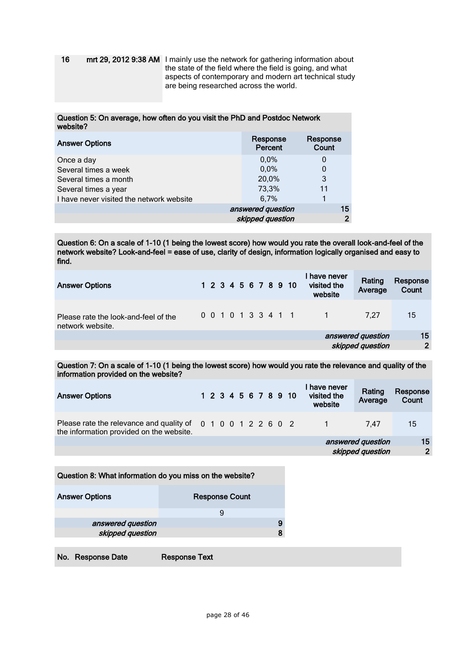16 mrt 29, 2012 9:38 AM I mainly use the network for gathering information about the state of the field where the field is going, and what aspects of contemporary and modern art technical study are being researched across the world.

#### Question 5: On average, how often do you visit the PhD and Postdoc Network website?

| <b>Answer Options</b>                    | Response<br>Percent | Response<br>Count |  |
|------------------------------------------|---------------------|-------------------|--|
| Once a day                               | 0.0%                | O                 |  |
| Several times a week                     | 0.0%                | 0                 |  |
| Several times a month                    | 20,0%               | 3                 |  |
| Several times a year                     | 73,3%               | 11                |  |
| I have never visited the network website | 6,7%                |                   |  |
|                                          | answered question   | 15                |  |
|                                          | skipped question    | ◠                 |  |

Question 6: On a scale of 1-10 (1 being the lowest score) how would you rate the overall look-and-feel of the network website? Look-and-feel = ease of use, clarity of design, information logically organised and easy to find.

| <b>Answer Options</b>                                    | 1 2 3 4 5 6 7 8 9 10 | l have never<br>Rating<br>visited the<br>Average<br>website | Response<br>Count |
|----------------------------------------------------------|----------------------|-------------------------------------------------------------|-------------------|
| Please rate the look-and-feel of the<br>network website. | 0 0 1 0 1 3 3 4 1 1  | 7.27                                                        | 15                |
|                                                          |                      | answered question                                           | 15                |
|                                                          |                      | skipped question                                            | $\overline{2}$    |
|                                                          |                      |                                                             |                   |

Question 7: On a scale of 1-10 (1 being the lowest score) how would you rate the relevance and quality of the information provided on the website?

| <b>Answer Options</b>                                                                                    |  |  |  |  | 1 2 3 4 5 6 7 8 9 10 | have never<br>visited the<br>website  | Rating<br>Average | Response<br>Count    |
|----------------------------------------------------------------------------------------------------------|--|--|--|--|----------------------|---------------------------------------|-------------------|----------------------|
| Please rate the relevance and quality of 0 1 0 0 1 2 2 6 0 2<br>the information provided on the website. |  |  |  |  |                      |                                       | 7.47              | 15                   |
|                                                                                                          |  |  |  |  |                      | answered question<br>skipped question |                   | 15<br>$\overline{2}$ |
|                                                                                                          |  |  |  |  |                      |                                       |                   |                      |

| Question 8: What information do you miss on the website? |                       |  |  |  |
|----------------------------------------------------------|-----------------------|--|--|--|
| <b>Answer Options</b>                                    | <b>Response Count</b> |  |  |  |
|                                                          | 9                     |  |  |  |
| answered question                                        |                       |  |  |  |
| skipped question                                         |                       |  |  |  |
|                                                          |                       |  |  |  |
|                                                          |                       |  |  |  |

No. Response Date Response Text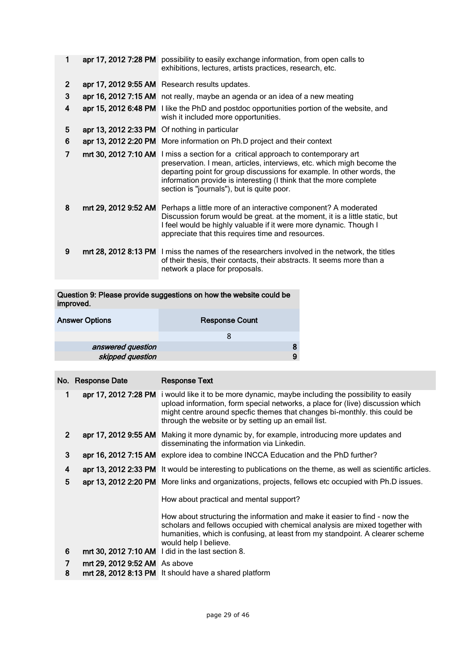| 1              |                      | apr 17, 2012 7:28 PM possibility to easily exchange information, from open calls to<br>exhibitions, lectures, artists practices, research, etc.                                                                                                                                                                                      |
|----------------|----------------------|--------------------------------------------------------------------------------------------------------------------------------------------------------------------------------------------------------------------------------------------------------------------------------------------------------------------------------------|
| $\overline{2}$ |                      | apr 17, 2012 9:55 AM Research results updates.                                                                                                                                                                                                                                                                                       |
| 3              |                      | apr 16, 2012 7:15 AM not really, maybe an agenda or an idea of a new meating                                                                                                                                                                                                                                                         |
| 4              |                      | apr 15, 2012 6:48 PM I like the PhD and postdoc opportunities portion of the website, and<br>wish it included more opportunities.                                                                                                                                                                                                    |
| 5              |                      | apr 13, 2012 2:33 PM Of nothing in particular                                                                                                                                                                                                                                                                                        |
| 6              |                      | apr 13, 2012 2:20 PM More information on Ph.D project and their context                                                                                                                                                                                                                                                              |
| 7              | mrt 30, 2012 7:10 AM | I miss a section for a critical approach to contemporary art<br>preservation. I mean, articles, interviews, etc. which migh become the<br>departing point for group discussions for example. In other words, the<br>information provide is interesting (I think that the more complete<br>section is "journals"), but is quite poor. |
| 8              | mrt 29, 2012 9:52 AM | Perhaps a little more of an interactive component? A moderated<br>Discussion forum would be great. at the moment, it is a little static, but<br>I feel would be highly valuable if it were more dynamic. Though I<br>appreciate that this requires time and resources.                                                               |
| 9              |                      | mrt 28, 2012 8:13 PM I miss the names of the researchers involved in the network, the titles<br>of their thesis, their contacts, their abstracts. It seems more than a<br>network a place for proposals.                                                                                                                             |

Question 9: Please provide suggestions on how the website could be improved.

| <b>Answer Options</b> | <b>Response Count</b> |
|-----------------------|-----------------------|
|                       |                       |
| answered question     |                       |
| skipped question      |                       |
|                       |                       |

|                | No. Response Date             | <b>Response Text</b>                                                                                                                                                                                                                                                                                                     |
|----------------|-------------------------------|--------------------------------------------------------------------------------------------------------------------------------------------------------------------------------------------------------------------------------------------------------------------------------------------------------------------------|
| 1              |                               | apr 17, 2012 7:28 PM i would like it to be more dynamic, maybe including the possibility to easily<br>upload information, form special networks, a place for (live) discussion which<br>might centre around specfic themes that changes bi-monthly. this could be<br>through the website or by setting up an email list. |
| 2 <sup>1</sup> |                               | apr 17, 2012 9:55 AM Making it more dynamic by, for example, introducing more updates and<br>disseminating the information via Linkedin.                                                                                                                                                                                 |
| 3              |                               | apr 16, 2012 7:15 AM explore idea to combine INCCA Education and the PhD further?                                                                                                                                                                                                                                        |
| 4              |                               | apr 13, 2012 2:33 PM It would be interesting to publications on the theme, as well as scientific articles.                                                                                                                                                                                                               |
| 5              |                               | apr 13, 2012 2:20 PM More links and organizations, projects, fellows etc occupied with Ph.D issues.                                                                                                                                                                                                                      |
|                |                               | How about practical and mental support?                                                                                                                                                                                                                                                                                  |
|                |                               | How about structuring the information and make it easier to find - now the<br>scholars and fellows occupied with chemical analysis are mixed together with<br>humanities, which is confusing, at least from my standpoint. A clearer scheme<br>would help I believe.                                                     |
| 6              |                               | mrt 30, 2012 7:10 AM I did in the last section 8.                                                                                                                                                                                                                                                                        |
| 7              | mrt 29, 2012 9:52 AM As above |                                                                                                                                                                                                                                                                                                                          |
| 8              |                               | mrt 28, 2012 8:13 PM It should have a shared platform                                                                                                                                                                                                                                                                    |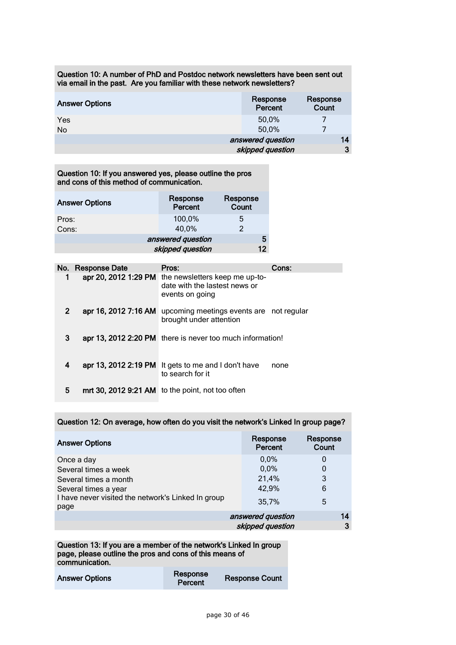Question 10: A number of PhD and Postdoc network newsletters have been sent out via email in the past. Are you familiar with these network newsletters?

| <b>Answer Options</b> | Response<br>Percent | Response<br><b>Count</b> |
|-----------------------|---------------------|--------------------------|
| Yes                   | 50,0%               |                          |
| No                    | 50,0%               |                          |
|                       | answered question   | 14                       |
|                       | skipped question    | 3                        |

Question 10: If you answered yes, please outline the pros and cons of this method of communication.

| <b>Answer Options</b> | Response<br>Percent | Response<br>Count |
|-----------------------|---------------------|-------------------|
| Pros:<br>Cons:        | 100,0%<br>40,0%     | ს<br>2            |
|                       | answered question   | 5                 |
|                       | skipped question    | 12                |

|   | No. Response Date | Pros:                                                                                                   | Cons: |
|---|-------------------|---------------------------------------------------------------------------------------------------------|-------|
|   |                   | apr 20, 2012 1:29 PM the newsletters keep me up-to-<br>date with the lastest news or<br>events on going |       |
| 2 |                   | apr 16, 2012 7:16 AM upcoming meetings events are not regular<br>brought under attention                |       |
| 3 |                   | apr 13, 2012 2:20 PM there is never too much information!                                               |       |
| 4 |                   | apr 13, 2012 2:19 PM It gets to me and I don't have<br>to search for it                                 | none  |
| 5 |                   | mrt 30, 2012 9:21 AM to the point, not too often                                                        |       |

Question 12: On average, how often do you visit the network's Linked In group page?

| <b>Answer Options</b>                                                                                                                             | Response<br>Percent                     | Response<br>Count     |
|---------------------------------------------------------------------------------------------------------------------------------------------------|-----------------------------------------|-----------------------|
| Once a day<br>Several times a week<br>Several times a month<br>Several times a year<br>I have never visited the network's Linked In group<br>page | 0,0%<br>0.0%<br>21,4%<br>42,9%<br>35,7% | 0<br>0<br>3<br>6<br>5 |
|                                                                                                                                                   | answered question                       | 14                    |
|                                                                                                                                                   | skipped question                        | 3                     |

Question 13: If you are a member of the network's Linked In group page, please outline the pros and cons of this means of communication.

| <b>Answer Options</b> | Response<br>Percent | <b>Response Count</b> |
|-----------------------|---------------------|-----------------------|
|                       |                     |                       |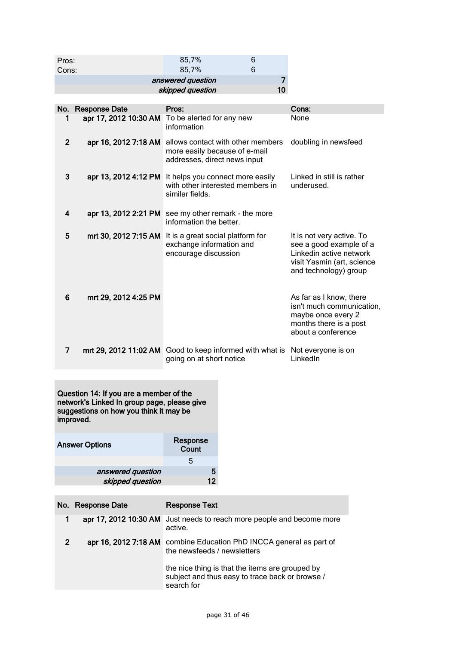| Pros:<br>Cons:    | 85,7%<br>85.7%   |    |  |
|-------------------|------------------|----|--|
| answered question |                  |    |  |
|                   | skipped question | 10 |  |

|                | No. Response Date    | Pros:                                                                                                        | Cons:                                                                                                                                  |
|----------------|----------------------|--------------------------------------------------------------------------------------------------------------|----------------------------------------------------------------------------------------------------------------------------------------|
|                |                      | apr 17, 2012 10:30 AM To be alerted for any new<br>information                                               | None                                                                                                                                   |
| $\overline{2}$ | apr 16, 2012 7:18 AM | allows contact with other members<br>more easily because of e-mail<br>addresses, direct news input           | doubling in newsfeed                                                                                                                   |
| 3              |                      | apr 13, 2012 4:12 PM It helps you connect more easily<br>with other interested members in<br>similar fields. | Linked in still is rather<br>underused.                                                                                                |
| 4              |                      | apr 13, 2012 2:21 PM see my other remark - the more<br>information the better.                               |                                                                                                                                        |
| 5              |                      | mrt 30, 2012 7:15 AM It is a great social platform for<br>exchange information and<br>encourage discussion   | It is not very active. To<br>see a good example of a<br>Linkedin active network<br>visit Yasmin (art, science<br>and technology) group |
| 6              | mrt 29, 2012 4:25 PM |                                                                                                              | As far as I know, there<br>isn't much communication,<br>maybe once every 2<br>months there is a post<br>about a conference             |
| 7              |                      | mrt 29, 2012 11:02 AM Good to keep informed with what is Not everyone is on<br>going on at short notice      | LinkedIn                                                                                                                               |

Question 14: If you are a member of the network's Linked In group page, please give suggestions on how you think it may be improved.

| <b>Answer Options</b> | Response<br>Count |
|-----------------------|-------------------|
|                       | 5                 |
| answered question     |                   |
| skipped question      | 12                |

|   | No. Response Date     | <b>Response Text</b>                                                                                             |
|---|-----------------------|------------------------------------------------------------------------------------------------------------------|
| 1 | apr 17, 2012 10:30 AM | Just needs to reach more people and become more<br>active.                                                       |
| 2 | apr 16, 2012 7:18 AM  | combine Education PhD INCCA general as part of<br>the newsfeeds / newsletters                                    |
|   |                       | the nice thing is that the items are grouped by<br>subject and thus easy to trace back or browse /<br>search for |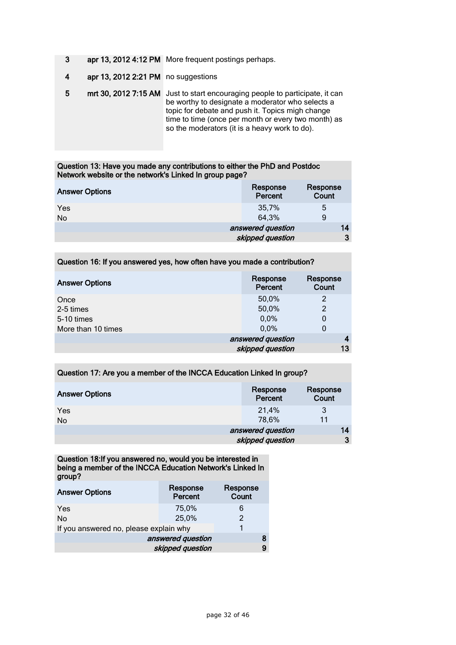- 3 apr 13, 2012 4:12 PM More frequent postings perhaps.
- 4 apr 13, 2012 2:21 PM no suggestions
- 5 mrt 30, 2012 7:15 AM Just to start encouraging people to participate, it can be worthy to designate a moderator who selects a topic for debate and push it. Topics migh change time to time (once per month or every two month) as so the moderators (it is a heavy work to do).

#### Question 13: Have you made any contributions to either the PhD and Postdoc Network website or the network's Linked In group page?

| <b>Answer Options</b> | Response<br>Percent | Response<br>Count |
|-----------------------|---------------------|-------------------|
| Yes<br>No             | 35,7%<br>64,3%      | 5<br>9            |
|                       | answered question   | 14                |
|                       | skipped question    | 3                 |

#### Question 16: If you answered yes, how often have you made a contribution?

| <b>Answer Options</b> | Response<br>Percent | Response<br>Count |
|-----------------------|---------------------|-------------------|
| Once                  | 50,0%               | 2                 |
| 2-5 times             | 50,0%               | $\overline{2}$    |
| 5-10 times            | 0.0%                | 0                 |
| More than 10 times    | 0.0%                | 0                 |
|                       | answered question   |                   |
|                       | skipped question    | 13                |

#### Question 17: Are you a member of the INCCA Education Linked In group?

| <b>Answer Options</b> | Response<br>Percent | Response<br>Count |
|-----------------------|---------------------|-------------------|
| <b>Yes</b>            | 21,4%               | 3                 |
| No                    | 78,6%               | 11                |
|                       | answered question   | 14                |
|                       | skipped question    | 3                 |

Question 18:If you answered no, would you be interested in being a member of the INCCA Education Network's Linked In group?

| <b>Answer Options</b>                  | Response<br>Percent | Response<br>Count |
|----------------------------------------|---------------------|-------------------|
| Yes                                    | 75,0%               | 6                 |
| No                                     | 25,0%               | $\mathcal{P}$     |
| If you answered no, please explain why |                     |                   |
| answered question                      |                     |                   |
| skipped question                       |                     | 9                 |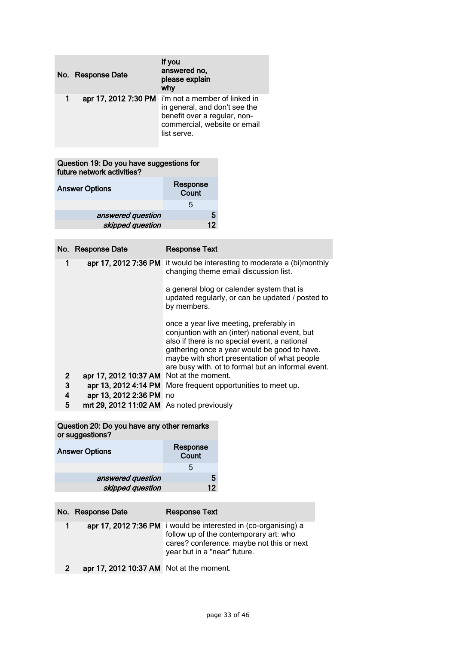| No. Response Date    | If you<br>answered no,<br>please explain<br>why                                                                                               |
|----------------------|-----------------------------------------------------------------------------------------------------------------------------------------------|
| apr 17, 2012 7:30 PM | i'm not a member of linked in<br>in general, and don't see the<br>benefit over a regular, non-<br>commercial, website or email<br>list serve. |

Question 19: Do you have suggestions for future network activities?

| <b>Answer Options</b> | Response<br>Count |
|-----------------------|-------------------|
|                       | 5                 |
| answered question     | 5                 |
| skipped question      | 12                |

|              | No. Response Date                         | <b>Response Text</b>                                                                                                                                                                                                                                                                             |
|--------------|-------------------------------------------|--------------------------------------------------------------------------------------------------------------------------------------------------------------------------------------------------------------------------------------------------------------------------------------------------|
| 1            | apr 17, 2012 7:36 PM                      | it would be interesting to moderate a (bi)monthly<br>changing theme email discussion list.                                                                                                                                                                                                       |
|              |                                           | a general blog or calender system that is<br>updated regularly, or can be updated / posted to<br>by members.                                                                                                                                                                                     |
|              |                                           | once a year live meeting, preferably in<br>conjuntion with an (inter) national event, but<br>also if there is no special event, a national<br>gathering once a year would be good to have.<br>maybe with short presentation of what people<br>are busy with. ot to formal but an informal event. |
| $\mathbf{2}$ | apr 17, 2012 10:37 AM                     | Not at the moment.                                                                                                                                                                                                                                                                               |
| 3            |                                           | apr 13, 2012 4:14 PM More frequent opportunities to meet up.                                                                                                                                                                                                                                     |
| 4            | apr 13, 2012 2:36 PM no                   |                                                                                                                                                                                                                                                                                                  |
| 5            | mrt 29, 2012 11:02 AM As noted previously |                                                                                                                                                                                                                                                                                                  |

Question 20: Do you have any other remarks or suggestions?

| <b>Answer Options</b> | Response<br>Count |
|-----------------------|-------------------|
|                       | 5                 |
| answered question     | 5                 |
| skipped question      | 12                |

|             | No. Response Date                        | <b>Response Text</b>                                                                                                                                                                   |
|-------------|------------------------------------------|----------------------------------------------------------------------------------------------------------------------------------------------------------------------------------------|
| $\mathbf 1$ |                                          | apr 17, 2012 7:36 PM i would be interested in (co-organising) a<br>follow up of the contemporary art: who<br>cares? conference. maybe not this or next<br>year but in a "near" future. |
|             | apr 17, 2012 10:37 AM Not at the moment. |                                                                                                                                                                                        |

page 33 of 46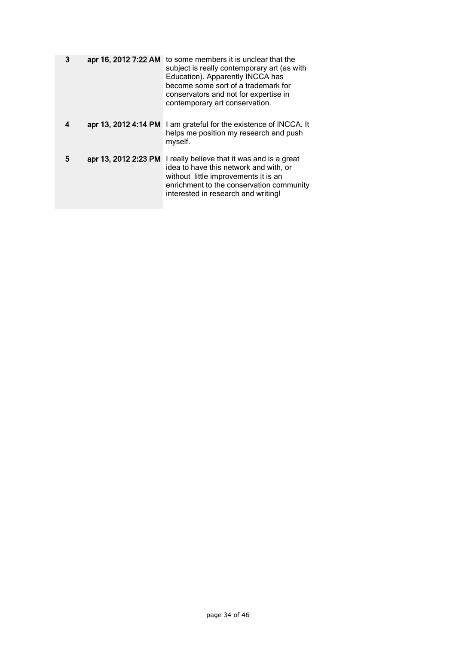| 3 | apr 16, 2012 7:22 AM | to some members it is unclear that the<br>subject is really contemporary art (as with<br>Education). Apparently INCCA has<br>become some sort of a trademark for<br>conservators and not for expertise in<br>contemporary art conservation. |
|---|----------------------|---------------------------------------------------------------------------------------------------------------------------------------------------------------------------------------------------------------------------------------------|
| 4 | apr 13, 2012 4:14 PM | I am grateful for the existence of INCCA. It<br>helps me position my research and push<br>myself.                                                                                                                                           |
| 5 | apr 13, 2012 2:23 PM | I really believe that it was and is a great<br>idea to have this network and with, or<br>without little improvements it is an<br>enrichment to the conservation community<br>interested in research and writing!                            |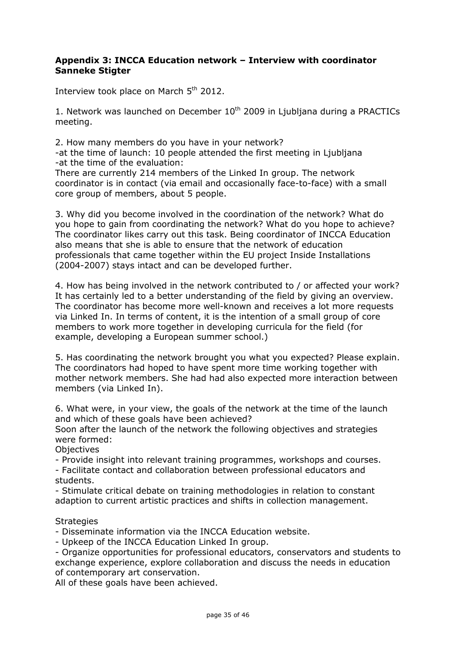### **Appendix 3: INCCA Education network – Interview with coordinator Sanneke Stigter**

Interview took place on March 5<sup>th</sup> 2012.

1. Network was launched on December  $10<sup>th</sup>$  2009 in Ljubljana during a PRACTICs meeting.

2. How many members do you have in your network? -at the time of launch: 10 people attended the first meeting in Ljubljana -at the time of the evaluation:

There are currently 214 members of the Linked In group. The network coordinator is in contact (via email and occasionally face-to-face) with a small core group of members, about 5 people.

3. Why did you become involved in the coordination of the network? What do you hope to gain from coordinating the network? What do you hope to achieve? The coordinator likes carry out this task. Being coordinator of INCCA Education also means that she is able to ensure that the network of education professionals that came together within the EU project Inside Installations (2004-2007) stays intact and can be developed further.

4. How has being involved in the network contributed to / or affected your work? It has certainly led to a better understanding of the field by giving an overview. The coordinator has become more well-known and receives a lot more requests via Linked In. In terms of content, it is the intention of a small group of core members to work more together in developing curricula for the field (for example, developing a European summer school.)

5. Has coordinating the network brought you what you expected? Please explain. The coordinators had hoped to have spent more time working together with mother network members. She had had also expected more interaction between members (via Linked In).

6. What were, in your view, the goals of the network at the time of the launch and which of these goals have been achieved?

Soon after the launch of the network the following objectives and strategies were formed:

**Objectives** 

- Provide insight into relevant training programmes, workshops and courses.

- Facilitate contact and collaboration between professional educators and students.

- Stimulate critical debate on training methodologies in relation to constant adaption to current artistic practices and shifts in collection management.

### **Strategies**

- Disseminate information via the INCCA Education website.

- Upkeep of the INCCA Education Linked In group.

- Organize opportunities for professional educators, conservators and students to exchange experience, explore collaboration and discuss the needs in education of contemporary art conservation.

All of these goals have been achieved.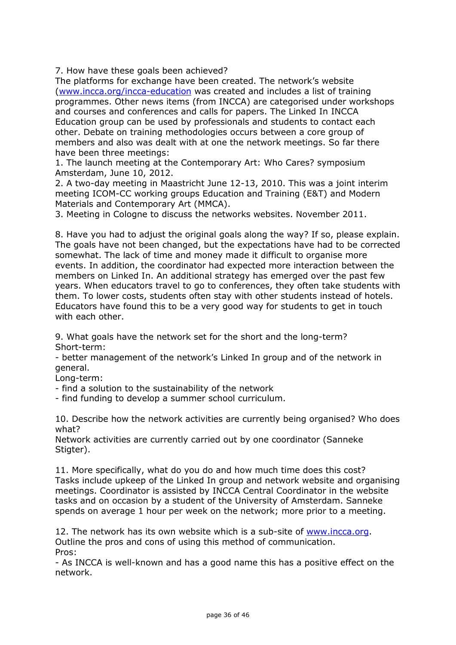7. How have these goals been achieved?

The platforms for exchange have been created. The network's website [\(www.incca.org/incca-education](http://www.incca.org/incca-education) was created and includes a list of training programmes. Other news items (from INCCA) are categorised under workshops and courses and conferences and calls for papers. The Linked In INCCA Education group can be used by professionals and students to contact each other. Debate on training methodologies occurs between a core group of members and also was dealt with at one the network meetings. So far there have been three meetings:

1. The launch meeting at the Contemporary Art: Who Cares? symposium Amsterdam, June 10, 2012.

2. A two-day meeting in Maastricht June 12-13, 2010. This was a joint interim meeting ICOM-CC working groups Education and Training (E&T) and Modern Materials and Contemporary Art (MMCA).

3. Meeting in Cologne to discuss the networks websites. November 2011.

8. Have you had to adjust the original goals along the way? If so, please explain. The goals have not been changed, but the expectations have had to be corrected somewhat. The lack of time and money made it difficult to organise more events. In addition, the coordinator had expected more interaction between the members on Linked In. An additional strategy has emerged over the past few years. When educators travel to go to conferences, they often take students with them. To lower costs, students often stay with other students instead of hotels. Educators have found this to be a very good way for students to get in touch with each other.

9. What goals have the network set for the short and the long-term? Short-term:

- better management of the network's Linked In group and of the network in general.

Long-term:

- find a solution to the sustainability of the network

- find funding to develop a summer school curriculum.

10. Describe how the network activities are currently being organised? Who does what?

Network activities are currently carried out by one coordinator (Sanneke Stigter).

11. More specifically, what do you do and how much time does this cost? Tasks include upkeep of the Linked In group and network website and organising meetings. Coordinator is assisted by INCCA Central Coordinator in the website tasks and on occasion by a student of the University of Amsterdam. Sanneke spends on average 1 hour per week on the network; more prior to a meeting.

12. The network has its own website which is a sub-site of [www.incca.org.](http://www.incca.org/) Outline the pros and cons of using this method of communication. Pros:

- As INCCA is well-known and has a good name this has a positive effect on the network.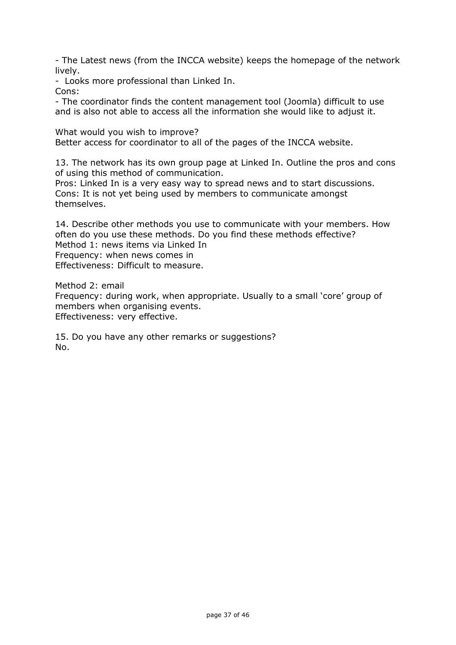- The Latest news (from the INCCA website) keeps the homepage of the network lively.

- Looks more professional than Linked In. Cons:

- The coordinator finds the content management tool (Joomla) difficult to use and is also not able to access all the information she would like to adjust it.

What would you wish to improve? Better access for coordinator to all of the pages of the INCCA website.

13. The network has its own group page at Linked In. Outline the pros and cons of using this method of communication.

Pros: Linked In is a very easy way to spread news and to start discussions. Cons: It is not yet being used by members to communicate amongst themselves.

14. Describe other methods you use to communicate with your members. How often do you use these methods. Do you find these methods effective? Method 1: news items via Linked In Frequency: when news comes in Effectiveness: Difficult to measure.

Method 2: email

Frequency: during work, when appropriate. Usually to a small 'core' group of members when organising events. Effectiveness: very effective.

15. Do you have any other remarks or suggestions? No.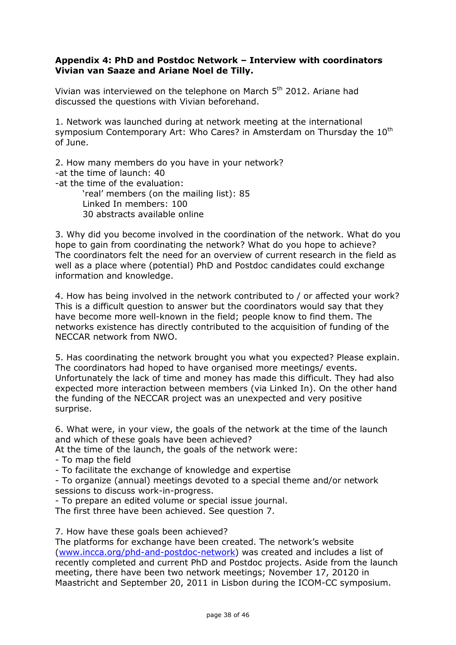### **Appendix 4: PhD and Postdoc Network – Interview with coordinators Vivian van Saaze and Ariane Noel de Tilly.**

Vivian was interviewed on the telephone on March 5th 2012. Ariane had discussed the questions with Vivian beforehand.

1. Network was launched during at network meeting at the international symposium Contemporary Art: Who Cares? in Amsterdam on Thursday the 10<sup>th</sup> of June.

2. How many members do you have in your network? -at the time of launch: 40 -at the time of the evaluation: 'real' members (on the mailing list): 85 Linked In members: 100 30 abstracts available online

3. Why did you become involved in the coordination of the network. What do you hope to gain from coordinating the network? What do you hope to achieve? The coordinators felt the need for an overview of current research in the field as well as a place where (potential) PhD and Postdoc candidates could exchange information and knowledge.

4. How has being involved in the network contributed to / or affected your work? This is a difficult question to answer but the coordinators would say that they have become more well-known in the field; people know to find them. The networks existence has directly contributed to the acquisition of funding of the NECCAR network from NWO.

5. Has coordinating the network brought you what you expected? Please explain. The coordinators had hoped to have organised more meetings/ events. Unfortunately the lack of time and money has made this difficult. They had also expected more interaction between members (via Linked In). On the other hand the funding of the NECCAR project was an unexpected and very positive surprise.

6. What were, in your view, the goals of the network at the time of the launch and which of these goals have been achieved?

At the time of the launch, the goals of the network were:

- To map the field

- To facilitate the exchange of knowledge and expertise

- To organize (annual) meetings devoted to a special theme and/or network sessions to discuss work-in-progress.

- To prepare an edited volume or special issue journal.

The first three have been achieved. See question 7.

7. How have these goals been achieved?

The platforms for exchange have been created. The network's website [\(www.incca.org/phd-and-postdoc-network\)](http://www.incca.org/phd-and-postdoc-network) was created and includes a list of recently completed and current PhD and Postdoc projects. Aside from the launch meeting, there have been two network meetings; November 17, 20120 in Maastricht and September 20, 2011 in Lisbon during the ICOM-CC symposium.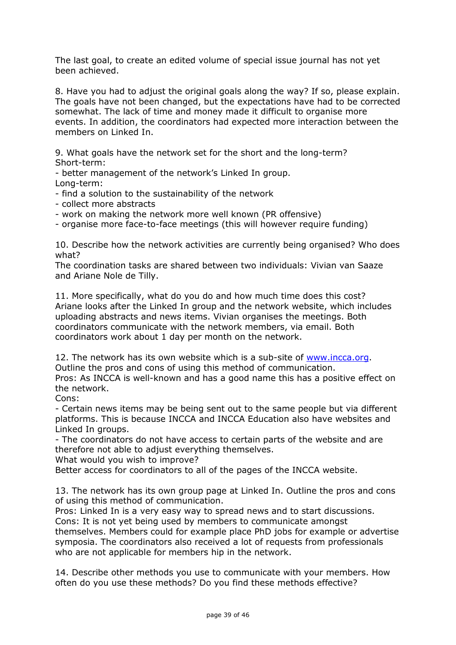The last goal, to create an edited volume of special issue journal has not yet been achieved.

8. Have you had to adjust the original goals along the way? If so, please explain. The goals have not been changed, but the expectations have had to be corrected somewhat. The lack of time and money made it difficult to organise more events. In addition, the coordinators had expected more interaction between the members on Linked In.

9. What goals have the network set for the short and the long-term? Short-term:

- better management of the network's Linked In group. Long-term:

- find a solution to the sustainability of the network

- collect more abstracts

- work on making the network more well known (PR offensive)

- organise more face-to-face meetings (this will however require funding)

10. Describe how the network activities are currently being organised? Who does what?

The coordination tasks are shared between two individuals: Vivian van Saaze and Ariane Nole de Tilly.

11. More specifically, what do you do and how much time does this cost? Ariane looks after the Linked In group and the network website, which includes uploading abstracts and news items. Vivian organises the meetings. Both coordinators communicate with the network members, via email. Both coordinators work about 1 day per month on the network.

12. The network has its own website which is a sub-site of [www.incca.org.](http://www.incca.org/)

Outline the pros and cons of using this method of communication.

Pros: As INCCA is well-known and has a good name this has a positive effect on the network.

Cons:

- Certain news items may be being sent out to the same people but via different platforms. This is because INCCA and INCCA Education also have websites and Linked In groups.

- The coordinators do not have access to certain parts of the website and are therefore not able to adjust everything themselves.

What would you wish to improve?

Better access for coordinators to all of the pages of the INCCA website.

13. The network has its own group page at Linked In. Outline the pros and cons of using this method of communication.

Pros: Linked In is a very easy way to spread news and to start discussions. Cons: It is not yet being used by members to communicate amongst

themselves. Members could for example place PhD jobs for example or advertise symposia. The coordinators also received a lot of requests from professionals who are not applicable for members hip in the network.

14. Describe other methods you use to communicate with your members. How often do you use these methods? Do you find these methods effective?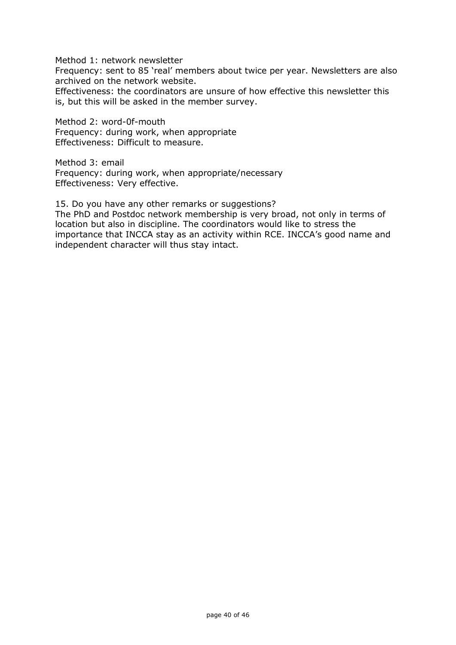Method 1: network newsletter

Frequency: sent to 85 'real' members about twice per year. Newsletters are also archived on the network website.

Effectiveness: the coordinators are unsure of how effective this newsletter this is, but this will be asked in the member survey.

Method 2: word-0f-mouth Frequency: during work, when appropriate Effectiveness: Difficult to measure.

Method 3: email Frequency: during work, when appropriate/necessary Effectiveness: Very effective.

15. Do you have any other remarks or suggestions? The PhD and Postdoc network membership is very broad, not only in terms of location but also in discipline. The coordinators would like to stress the

importance that INCCA stay as an activity within RCE. INCCA's good name and independent character will thus stay intact.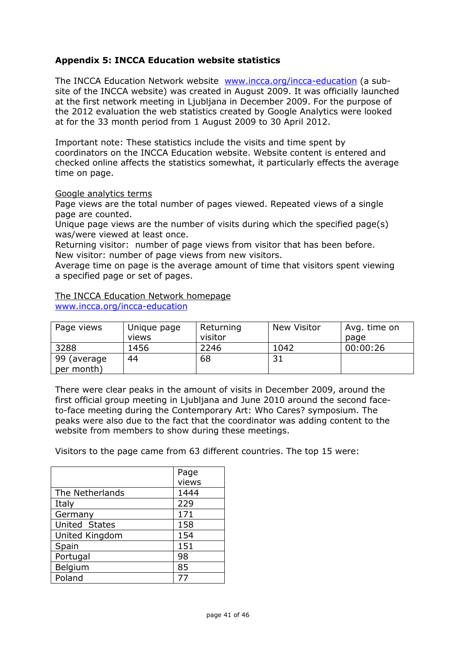# **Appendix 5: INCCA Education website statistics**

The INCCA Education Network website [www.incca.org/incca-education](http://www.incca.org/incca-education) (a subsite of the INCCA website) was created in August 2009. It was officially launched at the first network meeting in Ljubljana in December 2009. For the purpose of the 2012 evaluation the web statistics created by Google Analytics were looked at for the 33 month period from 1 August 2009 to 30 April 2012.

Important note: These statistics include the visits and time spent by coordinators on the INCCA Education website. Website content is entered and checked online affects the statistics somewhat, it particularly effects the average time on page.

#### Google analytics terms

Page views are the total number of pages viewed. Repeated views of a single page are counted.

Unique page views are the number of visits during which the specified page(s) was/were viewed at least once.

Returning visitor: number of page views from visitor that has been before. New visitor: number of page views from new visitors.

Average time on page is the average amount of time that visitors spent viewing a specified page or set of pages.

#### The INCCA Education Network homepage [www.incca.org/incca-education](http://www.incca.org/incca-education)

| Page views                | Unique page<br>views | Returning<br>visitor | New Visitor | Avg. time on<br>page |
|---------------------------|----------------------|----------------------|-------------|----------------------|
| 3288                      | 1456                 | 2246                 | 1042        | 00:00:26             |
| 99 (average<br>per month) | 44                   | 68                   | 31          |                      |

There were clear peaks in the amount of visits in December 2009, around the first official group meeting in Ljubljana and June 2010 around the second faceto-face meeting during the Contemporary Art: Who Cares? symposium. The peaks were also due to the fact that the coordinator was adding content to the website from members to show during these meetings.

Visitors to the page came from 63 different countries. The top 15 were:

|                 | Page  |
|-----------------|-------|
|                 | views |
| The Netherlands | 1444  |
| Italy           | 229   |
| Germany         | 171   |
| United States   | 158   |
| United Kingdom  | 154   |
| Spain           | 151   |
| Portugal        | 98    |
| Belgium         | 85    |
| Poland          |       |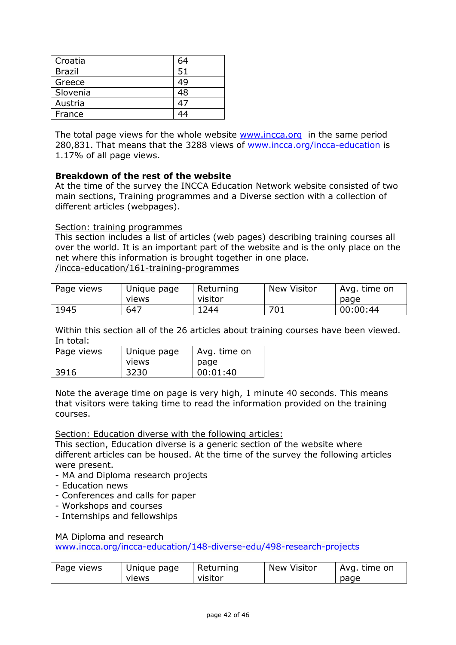| Croatia  | 64 |
|----------|----|
| Brazil   | 51 |
| Greece   | 49 |
| Slovenia | 48 |
| Austria  | 47 |
| France   |    |

The total page views for the whole website [www.incca.org](http://www.incca.org/) in the same period 280,831. That means that the 3288 views of [www.incca.org/incca-education](http://www.incca.org/incca-education) is 1.17% of all page views.

### **Breakdown of the rest of the website**

At the time of the survey the INCCA Education Network website consisted of two main sections, Training programmes and a Diverse section with a collection of different articles (webpages).

### Section: training programmes

This section includes a list of articles (web pages) describing training courses all over the world. It is an important part of the website and is the only place on the net where this information is brought together in one place. /incca-education/161-training-programmes

| Page views | Unique page<br>views | Returning<br>visitor | <b>New Visitor</b> | Avg. time on<br>page |
|------------|----------------------|----------------------|--------------------|----------------------|
| 1945       | 647                  | 244ء                 | 701                | 00:00:44             |

Within this section all of the 26 articles about training courses have been viewed. In total:

| Page views | I Unique page | Avg. time on |
|------------|---------------|--------------|
|            | views         | page         |
| 3916       | 3230          | 00:01:40     |

Note the average time on page is very high, 1 minute 40 seconds. This means that visitors were taking time to read the information provided on the training courses.

### Section: Education diverse with the following articles:

This section, Education diverse is a generic section of the website where different articles can be housed. At the time of the survey the following articles were present.

- MA and Diploma research projects
- Education news
- Conferences and calls for paper
- Workshops and courses
- Internships and fellowships

#### MA Diploma and research

[www.incca.org/incca-education/148-diverse-edu/498-research-projects](http://www.incca.org/incca-education/148-diverse-edu/498-research-projects)

| Page views<br>Unique page<br>views | Returning<br>visitor | <b>New Visitor</b> | Avg. time on<br>page |
|------------------------------------|----------------------|--------------------|----------------------|
|------------------------------------|----------------------|--------------------|----------------------|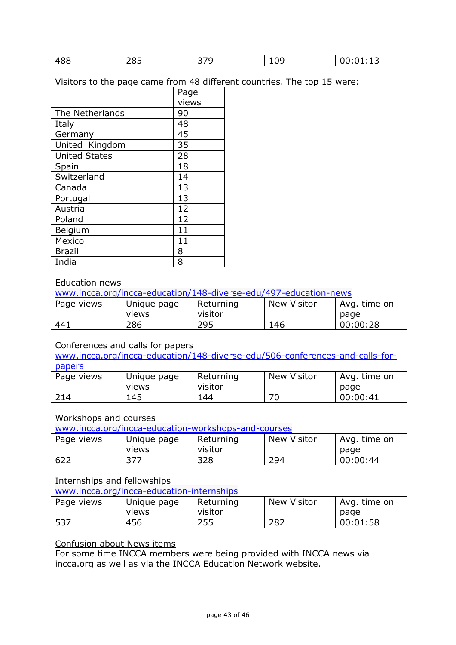| 488 | 285 | $\sim -1$<br>∼ | റവ<br>∸◡ | <b>01.LJ</b> |
|-----|-----|----------------|----------|--------------|
|-----|-----|----------------|----------|--------------|

Visitors to the page came from 48 different countries. The top 15 were:

|                      | Page  |
|----------------------|-------|
|                      | views |
| The Netherlands      | 90    |
| Italy                | 48    |
| Germany              | 45    |
| United Kingdom       | 35    |
| <b>United States</b> | 28    |
| Spain                | 18    |
| Switzerland          | 14    |
| Canada               | 13    |
| Portugal             | 13    |
| Austria              | 12    |
| Poland               | 12    |
| Belgium              | 11    |
| Mexico               | 11    |
| <b>Brazil</b>        | 8     |
| India                | 8     |

### Education news

[www.incca.org/incca-education/148-diverse-edu/497-education-news](http://www.incca.org/incca-education/148-diverse-edu/497-education-news)

| Page views | Unique page  | Returning | <b>New Visitor</b> | Avg. time on |
|------------|--------------|-----------|--------------------|--------------|
|            | <b>views</b> | visitor   |                    | page         |
| 441        | 286          | 295       | 146                | 00:00:28     |

### Conferences and calls for papers

[www.incca.org/incca-education/148-diverse-edu/506-conferences-and-calls-for](http://www.incca.org/incca-education/148-diverse-edu/506-conferences-and-calls-for-papers)[papers](http://www.incca.org/incca-education/148-diverse-edu/506-conferences-and-calls-for-papers)

| Page views | Unique page<br><b>views</b> | Returning<br>visitor | New Visitor | Avg. time on<br>page |
|------------|-----------------------------|----------------------|-------------|----------------------|
| 214        | 145                         | 144                  | 70          | 00:00:41             |

### Workshops and courses

[www.incca.org/incca-education-workshops-and-courses](http://www.incca.org/incca-education-workshops-and-courses)

| Page views | Unique page  | Returning | <b>New Visitor</b> | Avg. time on |
|------------|--------------|-----------|--------------------|--------------|
|            | views        | visitor   |                    | page         |
| 622        | マフフ<br>J / 1 | 328       | 294                | 00:00:44     |

### Internships and fellowships

[www.incca.org/incca-education-internships](http://www.incca.org/incca-education-internships)

| Page views | Unique page  | Returning | New Visitor | Avg. time on |  |
|------------|--------------|-----------|-------------|--------------|--|
|            | <b>Views</b> | visitor   |             | page         |  |
| 537        | 456          | 255       | 282         | 00:01:58     |  |

## Confusion about News items

For some time INCCA members were being provided with INCCA news via incca.org as well as via the INCCA Education Network website.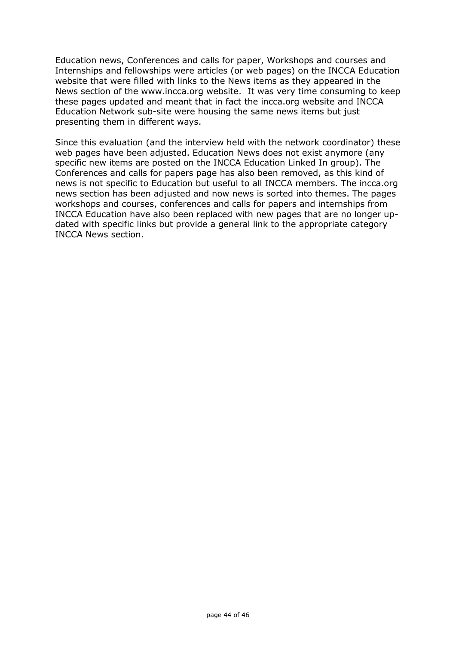Education news, Conferences and calls for paper, Workshops and courses and Internships and fellowships were articles (or web pages) on the INCCA Education website that were filled with links to the News items as they appeared in the News section of the www.incca.org website. It was very time consuming to keep these pages updated and meant that in fact the incca.org website and INCCA Education Network sub-site were housing the same news items but just presenting them in different ways.

Since this evaluation (and the interview held with the network coordinator) these web pages have been adjusted. Education News does not exist anymore (any specific new items are posted on the INCCA Education Linked In group). The Conferences and calls for papers page has also been removed, as this kind of news is not specific to Education but useful to all INCCA members. The incca.org news section has been adjusted and now news is sorted into themes. The pages workshops and courses, conferences and calls for papers and internships from INCCA Education have also been replaced with new pages that are no longer updated with specific links but provide a general link to the appropriate category INCCA News section.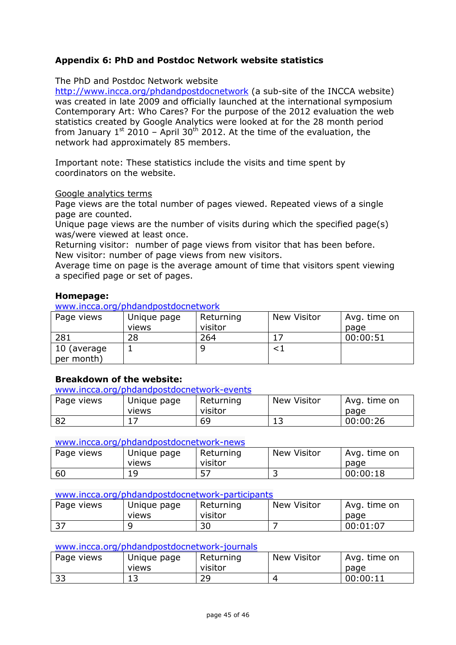# **Appendix 6: PhD and Postdoc Network website statistics**

### The PhD and Postdoc Network website

<http://www.incca.org/phdandpostdocnetwork> (a sub-site of the INCCA website) was created in late 2009 and officially launched at the international symposium Contemporary Art: Who Cares? For the purpose of the 2012 evaluation the web statistics created by Google Analytics were looked at for the 28 month period from January  $1^{st}$  2010 – April 30<sup>th</sup> 2012. At the time of the evaluation, the network had approximately 85 members.

Important note: These statistics include the visits and time spent by coordinators on the website.

#### Google analytics terms

Page views are the total number of pages viewed. Repeated views of a single page are counted.

Unique page views are the number of visits during which the specified page(s) was/were viewed at least once.

Returning visitor: number of page views from visitor that has been before. New visitor: number of page views from new visitors.

Average time on page is the average amount of time that visitors spent viewing a specified page or set of pages.

#### **Homepage:**

[www.incca.org/phdandpostdocnetwork](http://www.incca.org/phdandpostdocnetwork)

| Page views  | Unique page | Returning | New Visitor | Avg. time on |
|-------------|-------------|-----------|-------------|--------------|
|             | views       | visitor   |             | page         |
| 281         | 28          | 264       |             | 00:00:51     |
| 10 (average |             |           |             |              |
| per month)  |             |           |             |              |

### **Breakdown of the website:**

[www.incca.org/phdandpostdocnetwork-events](http://www.incca.org/phdandpostdocnetwork-events)

| Page views | Unique page  | Returning | <b>New Visitor</b> | Avg. time on |
|------------|--------------|-----------|--------------------|--------------|
|            | <b>Views</b> | visitor   |                    | page         |
| 82         | --           | 69        | ∸ ~                | 00:00:26     |

#### [www.incca.org/phdandpostdocnetwork-news](http://www.incca.org/phdandpostdocnetwork-news)

| Page views | Unique page  | Returning  | <b>New Visitor</b> | Avg. time on |
|------------|--------------|------------|--------------------|--------------|
|            | <b>Views</b> | visitor    |                    | page         |
| 60         | 1 Q<br>ت ـ   | <u>. .</u> | ٮ                  | 00:00:18     |

#### [www.incca.org/phdandpostdocnetwork-participants](http://www.incca.org/phdandpostdocnetwork-participants)

| Page views | Unique page<br><b>VIEWS</b> | Returning<br>visitor | <b>New Visitor</b> | Avg. time on<br>page |
|------------|-----------------------------|----------------------|--------------------|----------------------|
| っっ<br>. ر_ |                             | 30                   |                    | 00:01:07             |

#### [www.incca.org/phdandpostdocnetwork-journals](http://www.incca.org/phdandpostdocnetwork-journals)

| Page views | Unique page<br><b>Views</b> | Returning<br>visitor | <b>New Visitor</b> | Avg. time on |
|------------|-----------------------------|----------------------|--------------------|--------------|
|            |                             |                      |                    | page         |
| າ ວ<br>ر ر | ᅩ                           | າດ<br>ت ک            |                    | 00:00:11     |